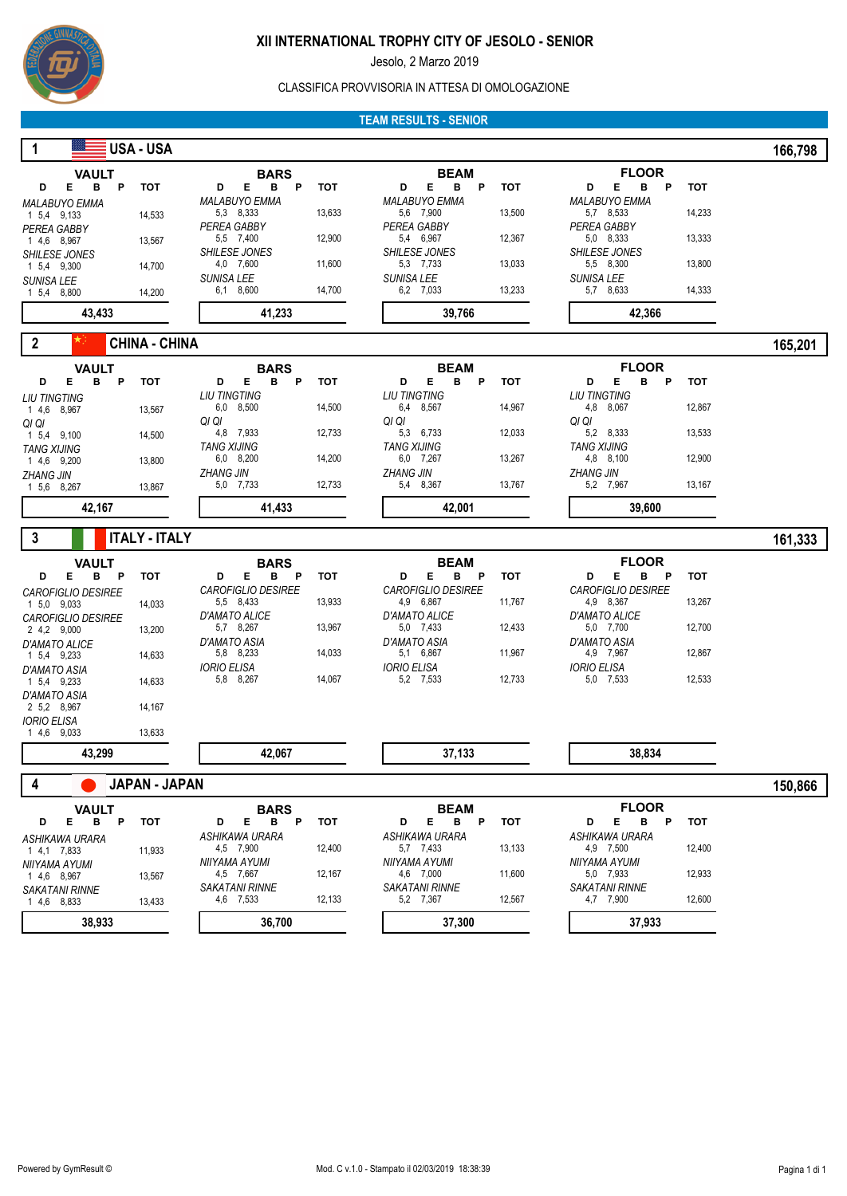

Jesolo, 2 Marzo 2019

#### CLASSIFICA PROVVISORIA IN ATTESA DI OMOLOGAZIONE

#### **TEAM RESULTS - SENIOR**

| 1                                        | USA - USA            |                                          |            |                                          |            |                                             | 166,798    |  |
|------------------------------------------|----------------------|------------------------------------------|------------|------------------------------------------|------------|---------------------------------------------|------------|--|
| <b>VAULT</b>                             |                      | <b>BARS</b>                              |            | <b>BEAM</b>                              |            | <b>FLOOR</b>                                |            |  |
| Е<br>в<br>D<br>P                         | <b>TOT</b>           | Е<br>в<br>D<br>P<br><b>MALABUYO EMMA</b> | <b>TOT</b> | в<br>D<br>Е<br>P<br><b>MALABUYO EMMA</b> | <b>TOT</b> | Е<br>в<br>P<br>D<br><b>MALABUYO EMMA</b>    | тот        |  |
| <b>MALABUYO EMMA</b><br>1 5,4 9,133      | 14,533               | 5,3 8,333                                | 13,633     | 5,6 7,900                                | 13,500     | 5,7 8,533                                   | 14,233     |  |
| PEREA GABBY<br>1 4,6 8,967               | 13,567               | PEREA GABBY<br>5,5 7,400                 | 12,900     | PEREA GABBY<br>5,4 6,967                 | 12,367     | PEREA GABBY<br>5,0 8,333                    | 13,333     |  |
| <b>SHILESE JONES</b>                     |                      | <b>SHILESE JONES</b>                     |            | <b>SHILESE JONES</b>                     |            | SHILESE JONES                               |            |  |
| 1 5,4 9,300                              | 14,700               | 4,0 7,600<br>SUNISA LEE                  | 11,600     | 5,3 7,733<br>SUNISA LEE                  | 13,033     | 5,5 8,300<br>SUNISA LEE                     | 13,800     |  |
| SUNISA LEE<br>1 5,4 8,800                | 14,200               | 6,1 8,600                                | 14,700     | 6,2 7,033                                | 13,233     | 5,7 8,633                                   | 14,333     |  |
| 43,433                                   |                      | 41,233                                   |            | 39,766                                   |            | 42,366                                      |            |  |
| $\boldsymbol{2}$                         | <b>CHINA - CHINA</b> |                                          |            |                                          |            |                                             | 165,201    |  |
| <b>VAULT</b>                             |                      | <b>BARS</b>                              |            | <b>BEAM</b>                              |            | <b>FLOOR</b>                                |            |  |
| Е<br>в<br>P<br>D                         | <b>TOT</b>           | D<br>в<br>P<br>Е                         | <b>TOT</b> | D<br>Е<br>в<br>P                         | тот        | D<br>Е<br>в<br>P                            | <b>TOT</b> |  |
| <b>LIU TINGTING</b><br>1 4,6 8,967       | 13,567               | <b>LIU TINGTING</b><br>6,0 8,500         | 14,500     | <b>LIU TINGTING</b><br>6,4 8,567         | 14,967     | <b>LIU TINGTING</b><br>4,8 8,067            | 12,867     |  |
| QI QI                                    |                      | QI QI                                    |            | QI QI                                    |            | QI QI                                       |            |  |
| 1 5,4 9,100<br><b>TANG XIJING</b>        | 14,500               | 4,8 7,933<br><b>TANG XIJING</b>          | 12,733     | 5,3 6,733<br><b>TANG XIJING</b>          | 12,033     | 5,2 8,333<br><b>TANG XIJING</b>             | 13,533     |  |
| 1 4,6 9,200                              | 13,800               | 6,0 8,200                                | 14,200     | 6,0 7,267                                | 13,267     | 4,8 8,100                                   | 12,900     |  |
| <b>ZHANG JIN</b><br>1 5,6 8,267          | 13,867               | <b>ZHANG JIN</b><br>5,0 7,733            | 12,733     | <b>ZHANG JIN</b><br>5,4 8,367            | 13,767     | <b>ZHANG JIN</b><br>5,2 7,967               | 13,167     |  |
| 42,167                                   |                      | 41,433                                   |            | 42,001                                   |            | 39,600                                      |            |  |
| 3                                        | <b>ITALY - ITALY</b> |                                          |            |                                          |            |                                             |            |  |
|                                          |                      |                                          |            |                                          |            |                                             | 161,333    |  |
| <b>VAULT</b><br>Е<br>B P<br>D            | <b>TOT</b>           | <b>BARS</b><br>Е<br>B <sub>P</sub><br>D  | <b>TOT</b> | <b>BEAM</b><br>D<br>Е<br>в<br><b>P</b>   | тот        | <b>FLOOR</b><br>в<br>Е<br>$\mathsf{P}$<br>D | тот        |  |
| <b>CAROFIGLIO DESIREE</b>                |                      | <b>CAROFIGLIO DESIREE</b>                |            | <b>CAROFIGLIO DESIREE</b>                |            | CAROFIGLIO DESIREE                          |            |  |
| 1 5.0 9.033<br><b>CAROFIGLIO DESIREE</b> | 14,033               | 5,5 8,433<br><b>D'AMATO ALICE</b>        | 13,933     | 4,9 6,867<br><b>D'AMATO ALICE</b>        | 11,767     | 4,9 8,367<br>D'AMATO ALICE                  | 13,267     |  |
| 2 4,2 9,000                              | 13,200               | 5,7 8,267                                | 13,967     | 5,0 7,433                                | 12,433     | 5,0 7,700                                   | 12,700     |  |
| D'AMATO ALICE<br>1 5,4 9,233             | 14,633               | D'AMATO ASIA<br>5,8 8,233                | 14,033     | <b>D'AMATO ASIA</b><br>5,1 6,867         | 11,967     | D'AMATO ASIA<br>4,9 7,967                   | 12,867     |  |
| <b>D'AMATO ASIA</b>                      |                      | <b>IORIO ELISA</b>                       |            | <b>IORIO ELISA</b>                       |            | <b>IORIO ELISA</b>                          |            |  |
| 1 5,4 9,233<br>D'AMATO ASIA              | 14,633               | 5,8 8,267                                | 14,067     | 5,2 7,533                                | 12,733     | 5,0 7,533                                   | 12,533     |  |
| 2 5,2 8,967                              | 14,167               |                                          |            |                                          |            |                                             |            |  |
| <b>IORIO ELISA</b><br>1 4,6 9,033        | 13,633               |                                          |            |                                          |            |                                             |            |  |
| 43,299                                   |                      | 42,067                                   |            | 37,133                                   |            | 38,834                                      |            |  |
| 4                                        | JAPAN - JAPAN        |                                          |            |                                          |            |                                             | 150,866    |  |
| <b>VAULT</b>                             |                      | <b>BARS</b>                              |            | <b>BEAM</b>                              |            | <b>FLOOR</b>                                |            |  |
| Е<br>B P<br>D                            | тот                  | D<br>Е<br>в<br>P                         | тот        | D<br>Е<br>в<br>P                         | тот        | D<br>Е<br>в<br>P                            | тот        |  |
| ASHIKAWA URARA                           |                      | ASHIKAWA URARA<br>4,5 7,900              | 12,400     | ASHIKAWA URARA<br>5,7 7,433              | 13,133     | ASHIKAWA URARA<br>4,9 7,500                 | 12,400     |  |
|                                          |                      |                                          |            |                                          |            |                                             |            |  |
| 1 4,1 7,833<br>NIIYAMA AYUMI             | 11,933               | NIIYAMA AYUMI                            |            | NIIYAMA AYUMI                            |            | NIIYAMA AYUMI                               |            |  |
| 1 4,6 8,967                              | 13,567               | 4,5 7,667<br>SAKATANI RINNE              | 12,167     | 4,6 7,000<br><b>SAKATANI RINNE</b>       | 11,600     | 5,0 7,933<br><b>SAKATANI RINNE</b>          | 12,933     |  |
| <b>SAKATANI RINNE</b><br>1 4,6 8,833     | 13,433               | 4,6 7,533                                | 12,133     | 5,2 7,367                                | 12,567     | 4,7 7,900                                   | 12,600     |  |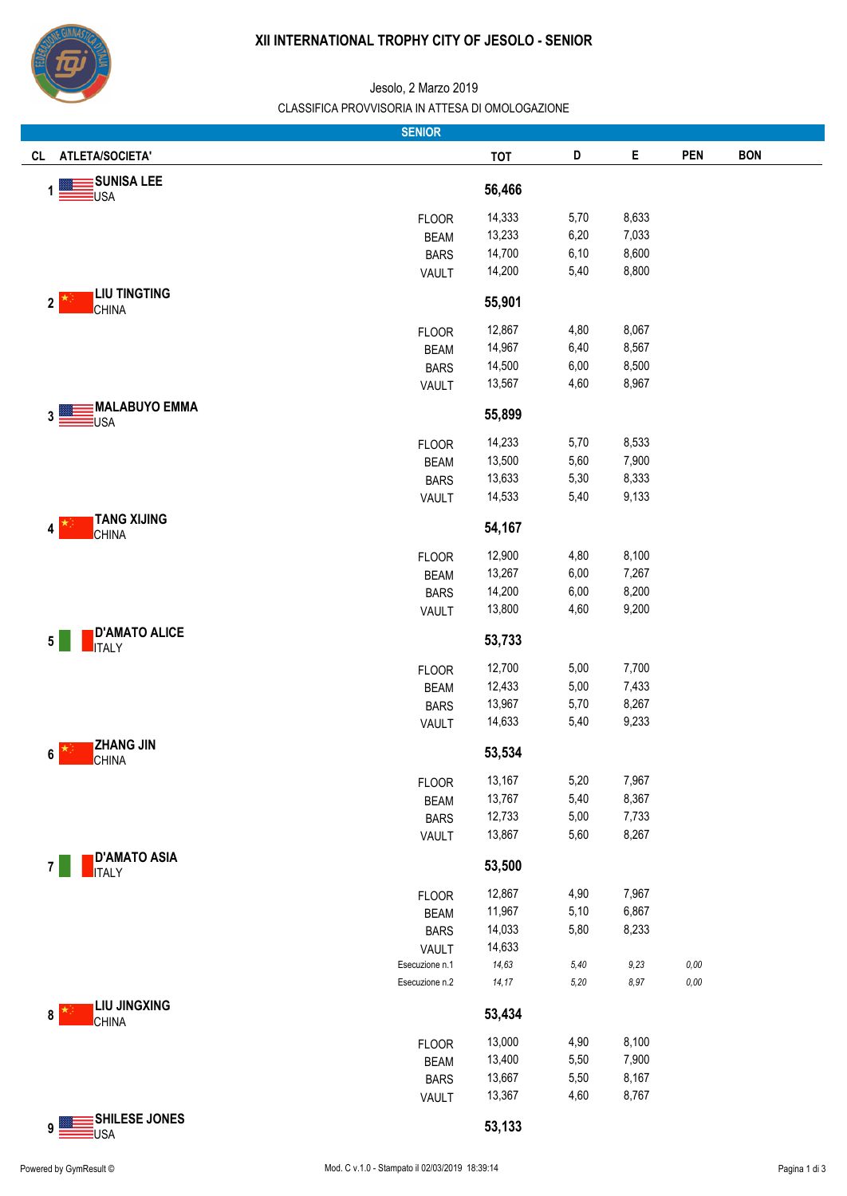

| <b>SENIOR</b>                                           |                      |                  |                |                |                      |            |  |
|---------------------------------------------------------|----------------------|------------------|----------------|----------------|----------------------|------------|--|
| ATLETA/SOCIETA'<br>CL                                   |                      | <b>TOT</b>       | D              | Е              | <b>PEN</b>           | <b>BON</b> |  |
| <b>SUNISA LEE</b><br>USA                                |                      | 56,466           |                |                |                      |            |  |
|                                                         | <b>FLOOR</b>         | 14,333           | 5,70           | 8,633          |                      |            |  |
|                                                         | <b>BEAM</b>          | 13,233           | 6,20           | 7,033          |                      |            |  |
|                                                         | <b>BARS</b>          | 14,700           | 6,10           | 8,600          |                      |            |  |
|                                                         | <b>VAULT</b>         | 14,200           | 5,40           | 8,800          |                      |            |  |
| <b>LIU TINGTING</b><br>$\mathbf{2}$<br><b>CHINA</b>     |                      | 55,901           |                |                |                      |            |  |
|                                                         | <b>FLOOR</b>         | 12,867           | 4,80           | 8,067          |                      |            |  |
|                                                         | <b>BEAM</b>          | 14,967           | 6,40           | 8,567          |                      |            |  |
|                                                         | <b>BARS</b>          | 14,500           | 6,00           | 8,500          |                      |            |  |
|                                                         | VAULT                | 13,567           | 4,60           | 8,967          |                      |            |  |
| <b>MALABUYO EMMA</b><br>3<br>USA                        |                      | 55,899           |                |                |                      |            |  |
|                                                         | <b>FLOOR</b>         | 14,233           | 5,70           | 8,533          |                      |            |  |
|                                                         | <b>BEAM</b>          | 13,500           | 5,60           | 7,900          |                      |            |  |
|                                                         | <b>BARS</b>          | 13,633           | 5,30           | 8,333          |                      |            |  |
|                                                         | VAULT                | 14,533           | 5,40           | 9,133          |                      |            |  |
| <b>TANG XIJING</b><br>4<br><b>CHINA</b>                 |                      | 54,167           |                |                |                      |            |  |
|                                                         | <b>FLOOR</b>         | 12,900           | 4,80           | 8,100          |                      |            |  |
|                                                         | <b>BEAM</b>          | 13,267           | 6,00           | 7,267          |                      |            |  |
|                                                         | <b>BARS</b>          | 14,200           | 6,00           | 8,200          |                      |            |  |
|                                                         | <b>VAULT</b>         | 13,800           | 4,60           | 9,200          |                      |            |  |
| <b>D'AMATO ALICE</b><br>$5\phantom{.0}$<br><b>ITALY</b> |                      | 53,733           |                |                |                      |            |  |
|                                                         | <b>FLOOR</b>         | 12,700           | 5,00           | 7,700          |                      |            |  |
|                                                         | <b>BEAM</b>          | 12,433           | 5,00           | 7,433          |                      |            |  |
|                                                         | <b>BARS</b>          | 13,967           | 5,70           | 8,267          |                      |            |  |
|                                                         | VAULT                | 14,633           | 5,40           | 9,233          |                      |            |  |
| <b>ZHANG JIN</b><br>6<br><b>CHINA</b>                   |                      | 53,534           |                |                |                      |            |  |
|                                                         | <b>FLOOR</b>         | 13,167           | 5,20           | 7,967          |                      |            |  |
|                                                         | <b>BEAM</b>          | 13,767           | 5,40           | 8,367          |                      |            |  |
|                                                         | <b>BARS</b>          | 12,733           | 5,00           | 7,733          |                      |            |  |
|                                                         | VAULT                | 13,867           | 5,60           | 8,267          |                      |            |  |
| <b>D'AMATO ASIA</b><br><b>ITALY</b>                     |                      | 53,500           |                |                |                      |            |  |
|                                                         | <b>FLOOR</b>         | 12,867           | 4,90           | 7,967          |                      |            |  |
|                                                         | <b>BEAM</b>          | 11,967           | 5,10           | 6,867          |                      |            |  |
|                                                         | <b>BARS</b>          | 14,033           | 5,80           | 8,233          |                      |            |  |
|                                                         | <b>VAULT</b>         | 14,633           |                |                |                      |            |  |
| Esecuzione n.1<br>Esecuzione n.2                        |                      | 14,63<br>14, 17  | $5,40$<br>5,20 | $9,23$<br>8,97 | $0,\!00$<br>$0,\!00$ |            |  |
| <b>LIU JINGXING</b><br>8                                |                      | 53,434           |                |                |                      |            |  |
| <b>CHINA</b>                                            |                      |                  |                |                |                      |            |  |
|                                                         | <b>FLOOR</b>         | 13,000           | 4,90           | 8,100          |                      |            |  |
|                                                         | <b>BEAM</b>          | 13,400           | 5,50           | 7,900          |                      |            |  |
|                                                         | <b>BARS</b><br>VAULT | 13,667<br>13,367 | 5,50<br>4,60   | 8,167<br>8,767 |                      |            |  |
| SHILESE JONES                                           |                      |                  |                |                |                      |            |  |
| 9<br><b>USA</b>                                         |                      | 53,133           |                |                |                      |            |  |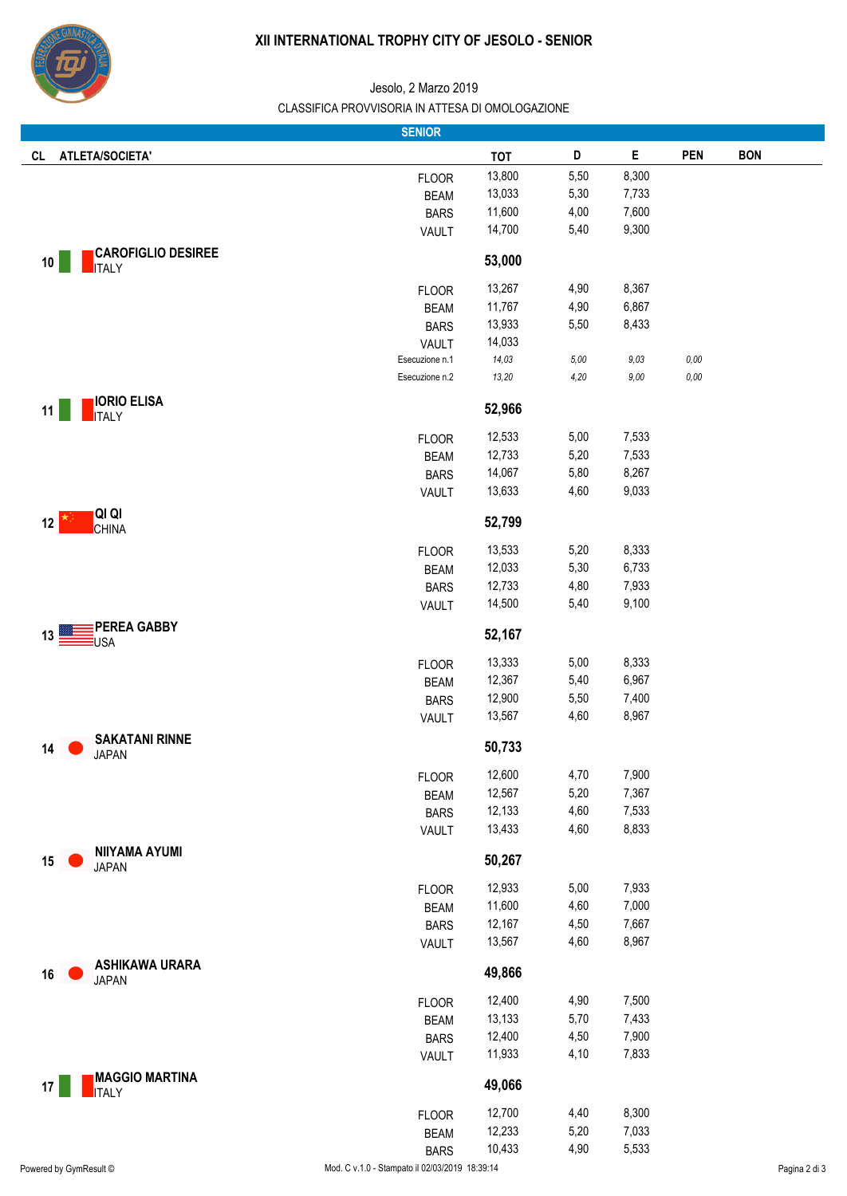

|                                                 | <b>SENIOR</b>                                  |                  |              |                |            |               |
|-------------------------------------------------|------------------------------------------------|------------------|--------------|----------------|------------|---------------|
| <b>ATLETA/SOCIETA'</b><br><b>CL</b>             |                                                | <b>TOT</b>       | D            | Е              | <b>PEN</b> | <b>BON</b>    |
|                                                 | <b>FLOOR</b>                                   | 13,800           | 5,50         | 8,300          |            |               |
|                                                 | <b>BEAM</b>                                    | 13,033           | 5,30         | 7,733          |            |               |
|                                                 | <b>BARS</b>                                    | 11,600           | 4,00         | 7,600          |            |               |
|                                                 | VAULT                                          | 14,700           | 5,40         | 9,300          |            |               |
| <b>CAROFIGLIO DESIREE</b><br>10<br><b>ITALY</b> |                                                | 53,000           |              |                |            |               |
|                                                 | <b>FLOOR</b>                                   | 13,267           | 4,90         | 8,367          |            |               |
|                                                 | <b>BEAM</b>                                    | 11,767           | 4,90         | 6,867          |            |               |
|                                                 | <b>BARS</b>                                    | 13,933           | 5,50         | 8,433          |            |               |
|                                                 | <b>VAULT</b>                                   | 14,033           |              |                |            |               |
|                                                 | Esecuzione n.1                                 | 14,03            | $5,00$       | 9,03           | 0,00       |               |
|                                                 | Esecuzione n.2                                 | 13,20            | 4,20         | 9,00           | $0,00$     |               |
| <b>IORIO ELISA</b><br>11<br><b>ITALY</b>        |                                                | 52,966           |              |                |            |               |
|                                                 | <b>FLOOR</b>                                   | 12,533           | 5,00         | 7,533          |            |               |
|                                                 | <b>BEAM</b>                                    | 12,733           | 5,20         | 7,533          |            |               |
|                                                 | <b>BARS</b>                                    | 14,067           | 5,80         | 8,267          |            |               |
|                                                 | <b>VAULT</b>                                   | 13,633           | 4,60         | 9,033          |            |               |
| <b>QI QI</b><br>12<br><b>CHINA</b>              |                                                | 52,799           |              |                |            |               |
|                                                 | <b>FLOOR</b>                                   | 13,533           | 5,20         | 8,333          |            |               |
|                                                 | <b>BEAM</b>                                    | 12,033           | 5,30         | 6,733          |            |               |
|                                                 | <b>BARS</b>                                    | 12,733           | 4,80         | 7,933          |            |               |
|                                                 | <b>VAULT</b>                                   | 14,500           | 5,40         | 9,100          |            |               |
| <b>PEREA GABBY</b><br>13                        |                                                | 52,167           |              |                |            |               |
| USA                                             |                                                |                  |              |                |            |               |
|                                                 | <b>FLOOR</b>                                   | 13,333           | 5,00         | 8,333          |            |               |
|                                                 | <b>BEAM</b>                                    | 12,367           | 5,40         | 6,967          |            |               |
|                                                 | <b>BARS</b>                                    | 12,900<br>13,567 | 5,50<br>4,60 | 7,400<br>8,967 |            |               |
|                                                 | VAULT                                          |                  |              |                |            |               |
| <b>SAKATANI RINNE</b><br>14<br><b>JAPAN</b>     |                                                | 50,733           |              |                |            |               |
|                                                 | <b>FLOOR</b>                                   | 12,600           | 4,70         | 7,900          |            |               |
|                                                 | <b>BEAM</b>                                    | 12,567           | 5,20         | 7,367          |            |               |
|                                                 | <b>BARS</b>                                    | 12,133           | 4,60         | 7,533          |            |               |
| <b>NIIYAMA AYUMI</b>                            | <b>VAULT</b>                                   | 13,433           | 4,60         | 8,833          |            |               |
| 15<br><b>JAPAN</b>                              |                                                | 50,267           |              |                |            |               |
|                                                 | <b>FLOOR</b>                                   | 12,933           | 5,00         | 7,933          |            |               |
|                                                 | <b>BEAM</b>                                    | 11,600           | 4,60         | 7,000          |            |               |
|                                                 | <b>BARS</b>                                    | 12,167           | 4,50         | 7,667          |            |               |
|                                                 | <b>VAULT</b>                                   | 13,567           | 4,60         | 8,967          |            |               |
| <b>ASHIKAWA URARA</b><br>16<br><b>JAPAN</b>     |                                                | 49,866           |              |                |            |               |
|                                                 | <b>FLOOR</b>                                   | 12,400           | 4,90         | 7,500          |            |               |
|                                                 | <b>BEAM</b>                                    | 13,133           | 5,70         | 7,433          |            |               |
|                                                 | <b>BARS</b>                                    | 12,400           | 4,50         | 7,900          |            |               |
|                                                 | VAULT                                          | 11,933           | 4,10         | 7,833          |            |               |
| <b>MAGGIO MARTINA</b>                           |                                                |                  |              |                |            |               |
| 17<br><b>ITALY</b>                              |                                                | 49,066           |              |                |            |               |
|                                                 | <b>FLOOR</b>                                   | 12,700           | 4,40         | 8,300          |            |               |
|                                                 | <b>BEAM</b>                                    | 12,233           | 5,20         | 7,033          |            |               |
|                                                 | <b>BARS</b>                                    | 10,433           | 4,90         | 5,533          |            |               |
| Powered by GymResult ©                          | Mod. C v.1.0 - Stampato il 02/03/2019 18:39:14 |                  |              |                |            | Pagina 2 di 3 |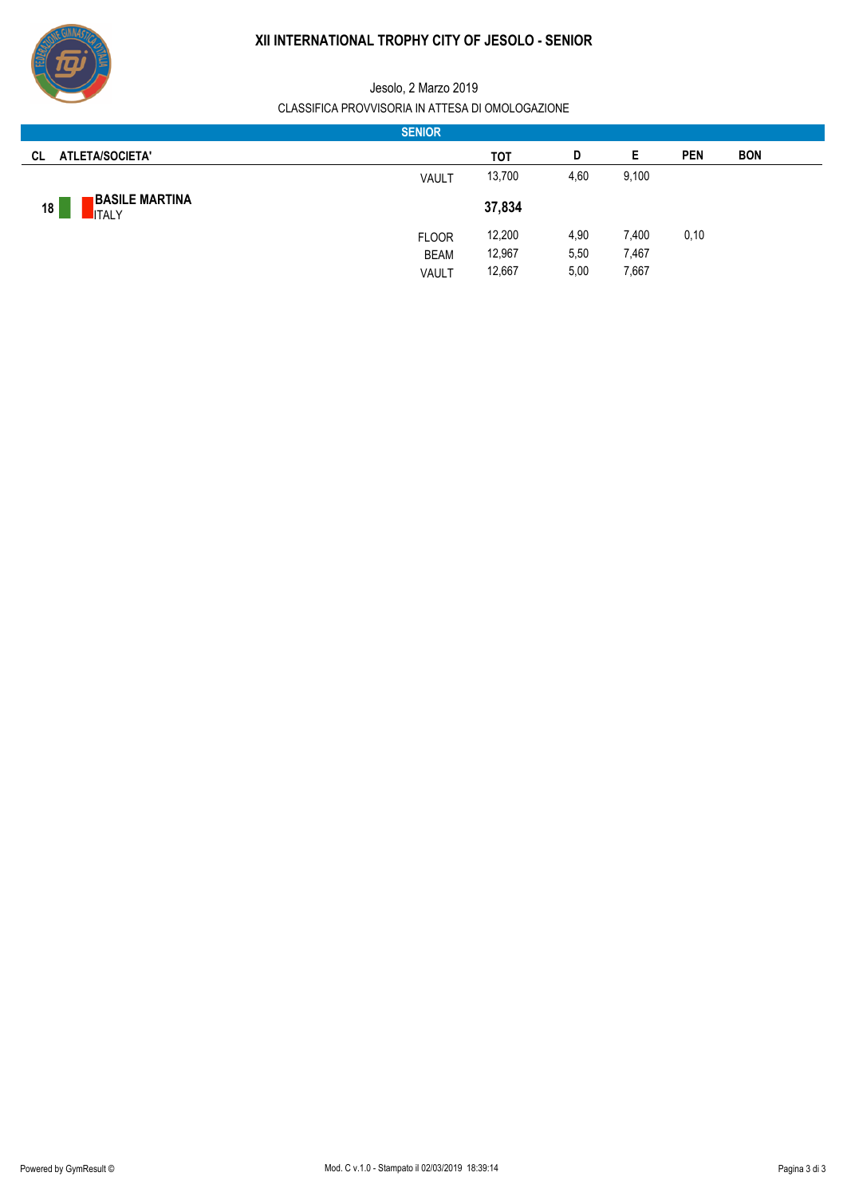

|                                             | <b>SENIOR</b> |        |      |       |            |            |
|---------------------------------------------|---------------|--------|------|-------|------------|------------|
| ATLETA/SOCIETA'<br>CL.                      |               | тот    | D    | Е     | <b>PEN</b> | <b>BON</b> |
|                                             | VAULT         | 13,700 | 4,60 | 9,100 |            |            |
| <b>BASILE MARTINA</b><br>18<br><b>ITALY</b> |               | 37,834 |      |       |            |            |
|                                             | <b>FLOOR</b>  | 12,200 | 4,90 | 7,400 | 0,10       |            |
|                                             | <b>BEAM</b>   | 12,967 | 5,50 | 7,467 |            |            |
|                                             | VAULT         | 12,667 | 5,00 | 7,667 |            |            |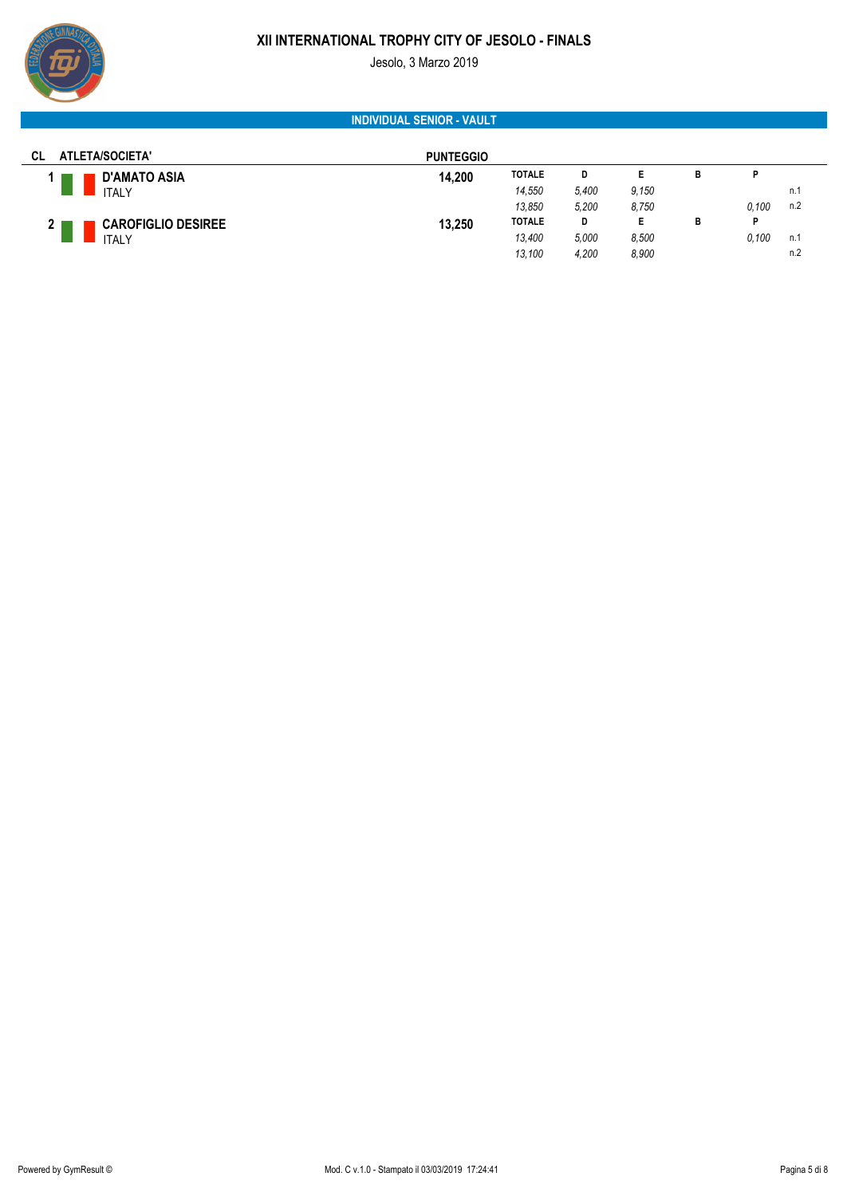# **XII INTERNATIONAL TROPHY CITY OF JESOLO - FINALS** Jesolo, 3 Marzo 2019



# **INDIVIDUAL SENIOR - VAULT**

| ATLETA/SOCIETA'<br>CL                     | <b>PUNTEGGIO</b> |               |       |       |   |       |     |
|-------------------------------------------|------------------|---------------|-------|-------|---|-------|-----|
| <b>D'AMATO ASIA</b>                       | 14,200           | <b>TOTALE</b> | D     | Е     | в | D     |     |
| <b>ITALY</b>                              |                  | 14,550        | 5,400 | 9.150 |   |       | n.1 |
|                                           |                  | 13,850        | 5,200 | 8,750 |   | 0.100 | n.2 |
| <b>CAROFIGLIO DESIREE</b><br>$\mathbf{2}$ | 13,250           | <b>TOTALE</b> | D     | Е     | в | P     |     |
| <b>ITALY</b>                              |                  | 13,400        | 5,000 | 8.500 |   | 0.100 | n.1 |
|                                           |                  | 13,100        | 4,200 | 8.900 |   |       | n.2 |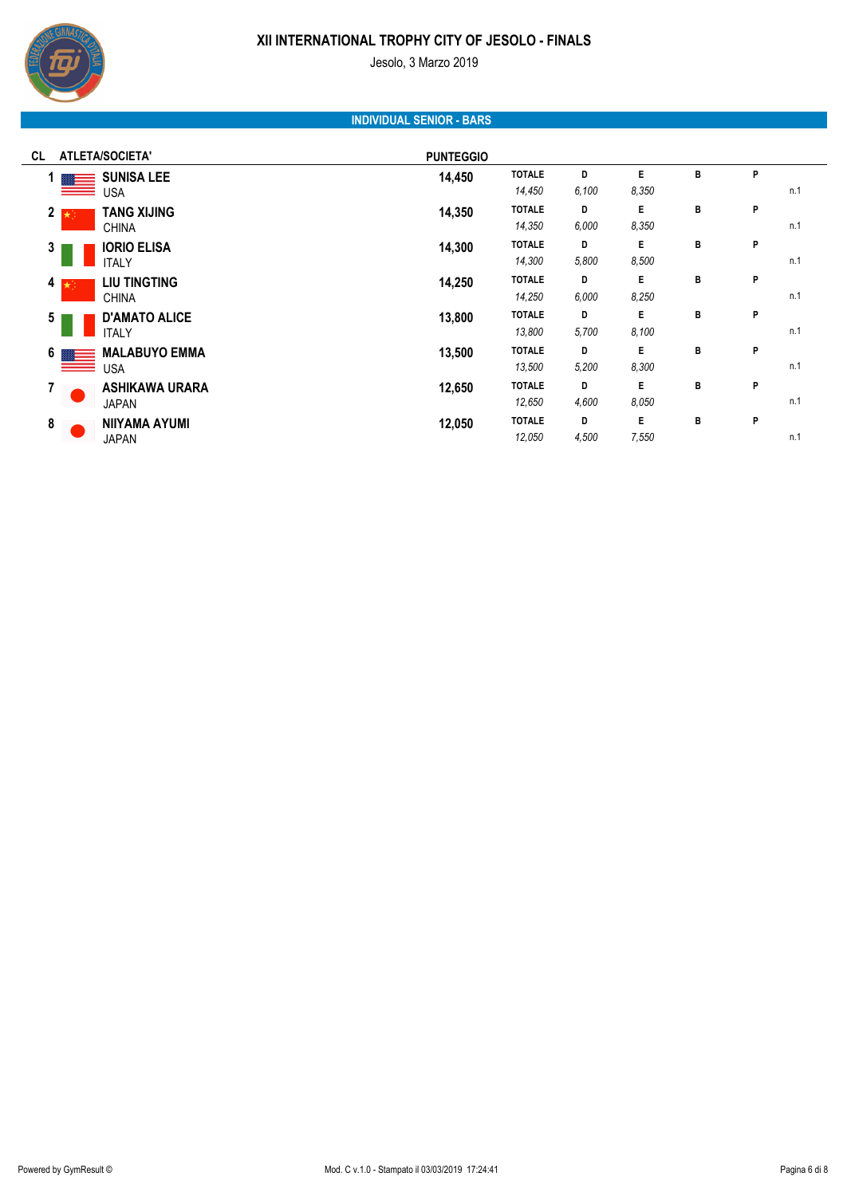#### Jesolo, 3 Marzo 2019

# **INDIVIDUAL SENIOR - BARS**

| ATLETA/SOCIETA'<br>CL                                        | <b>PUNTEGGIO</b> |                         |            |             |   |   |     |
|--------------------------------------------------------------|------------------|-------------------------|------------|-------------|---|---|-----|
| <b>SUNISA LEE</b><br>1 <sup>1</sup><br>⋹<br><b>USA</b><br>__ | 14,450           | <b>TOTALE</b><br>14,450 | D<br>6.100 | E<br>8.350  | B | P | n.1 |
| <b>TANG XIJING</b><br>$2 \star$<br><b>CHINA</b>              | 14,350           | <b>TOTALE</b><br>14,350 | D<br>6.000 | E.<br>8.350 | B | P | n.1 |
| <b>IORIO ELISA</b><br>$\mathbf{3}$<br><b>ITALY</b>           | 14,300           | <b>TOTALE</b><br>14,300 | D<br>5,800 | E.<br>8,500 | B | P | n.1 |
| <b>LIU TINGTING</b><br>4 $\star$<br><b>CHINA</b>             | 14,250           | <b>TOTALE</b><br>14,250 | D<br>6,000 | E<br>8,250  | B | P | n.1 |
| <b>D'AMATO ALICE</b><br>5<br><b>ITALY</b>                    | 13,800           | <b>TOTALE</b><br>13,800 | D<br>5,700 | E.<br>8.100 | B | P | n.1 |
| <b>MALABUYO EMMA</b><br>6 <sub>1</sub><br><u> — —</u><br>USA | 13,500           | <b>TOTALE</b><br>13,500 | D<br>5,200 | E<br>8,300  | B | P | n.1 |
| <b>ASHIKAWA URARA</b><br>7<br><b>JAPAN</b>                   | 12,650           | <b>TOTALE</b><br>12,650 | D<br>4,600 | E.<br>8.050 | B | P | n.1 |
| 8<br><b>NIIYAMA AYUMI</b><br><b>JAPAN</b>                    | 12,050           | <b>TOTALE</b><br>12,050 | D<br>4,500 | E<br>7,550  | B | P | n.1 |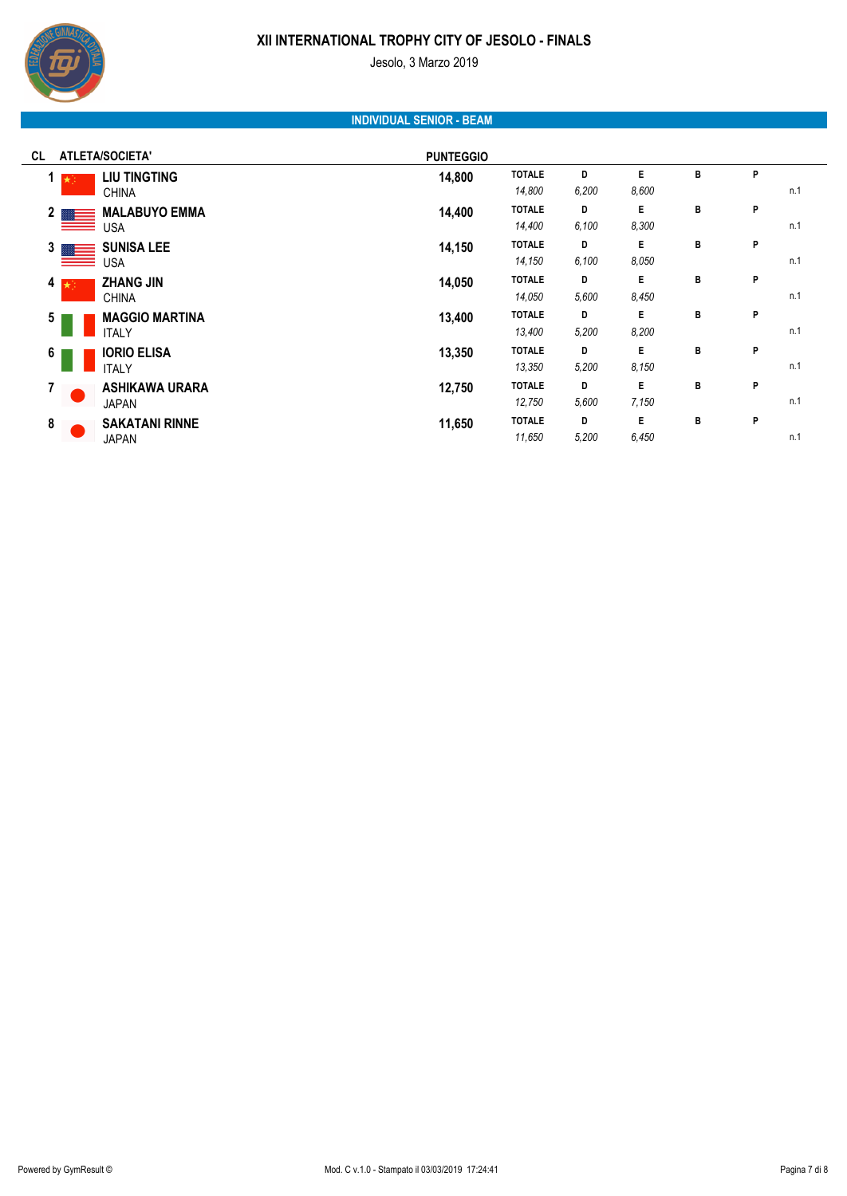#### Jesolo, 3 Marzo 2019

# **INDIVIDUAL SENIOR - BEAM**

| <b>ATLETA/SOCIETA'</b><br>CL                             | <b>PUNTEGGIO</b> |                         |            |             |   |   |     |
|----------------------------------------------------------|------------------|-------------------------|------------|-------------|---|---|-----|
| <b>LIU TINGTING</b><br>$1 \star$<br><b>CHINA</b>         | 14,800           | <b>TOTALE</b><br>14,800 | D<br>6,200 | E.<br>8,600 | в | P | n.1 |
| <b>MALABUYO EMMA</b><br>2 $\blacksquare$<br>USA<br>__    | 14,400           | <b>TOTALE</b><br>14,400 | D<br>6.100 | E.<br>8,300 | B | P | n.1 |
| <b>SUNISA LEE</b><br>3 <sub>1</sub><br>▩▬▬<br><b>USA</b> | 14,150           | <b>TOTALE</b><br>14,150 | D<br>6,100 | E<br>8.050  | в | P | n.1 |
| <b>ZHANG JIN</b><br>4 $\star$<br><b>CHINA</b>            | 14,050           | <b>TOTALE</b><br>14,050 | D<br>5,600 | E.<br>8,450 | в | P | n.1 |
| <b>MAGGIO MARTINA</b><br>5<br><b>ITALY</b>               | 13,400           | <b>TOTALE</b><br>13,400 | D<br>5,200 | E.<br>8,200 | в | P | n.1 |
| <b>IORIO ELISA</b><br>6<br><b>ITALY</b>                  | 13,350           | <b>TOTALE</b><br>13,350 | D<br>5,200 | E.<br>8.150 | в | P | n.1 |
| <b>ASHIKAWA URARA</b><br>7<br><b>JAPAN</b>               | 12,750           | <b>TOTALE</b><br>12,750 | D<br>5,600 | E.<br>7,150 | в | P | n.1 |
| 8<br><b>SAKATANI RINNE</b><br><b>JAPAN</b>               | 11,650           | <b>TOTALE</b><br>11,650 | D<br>5,200 | E<br>6,450  | В | P | n.1 |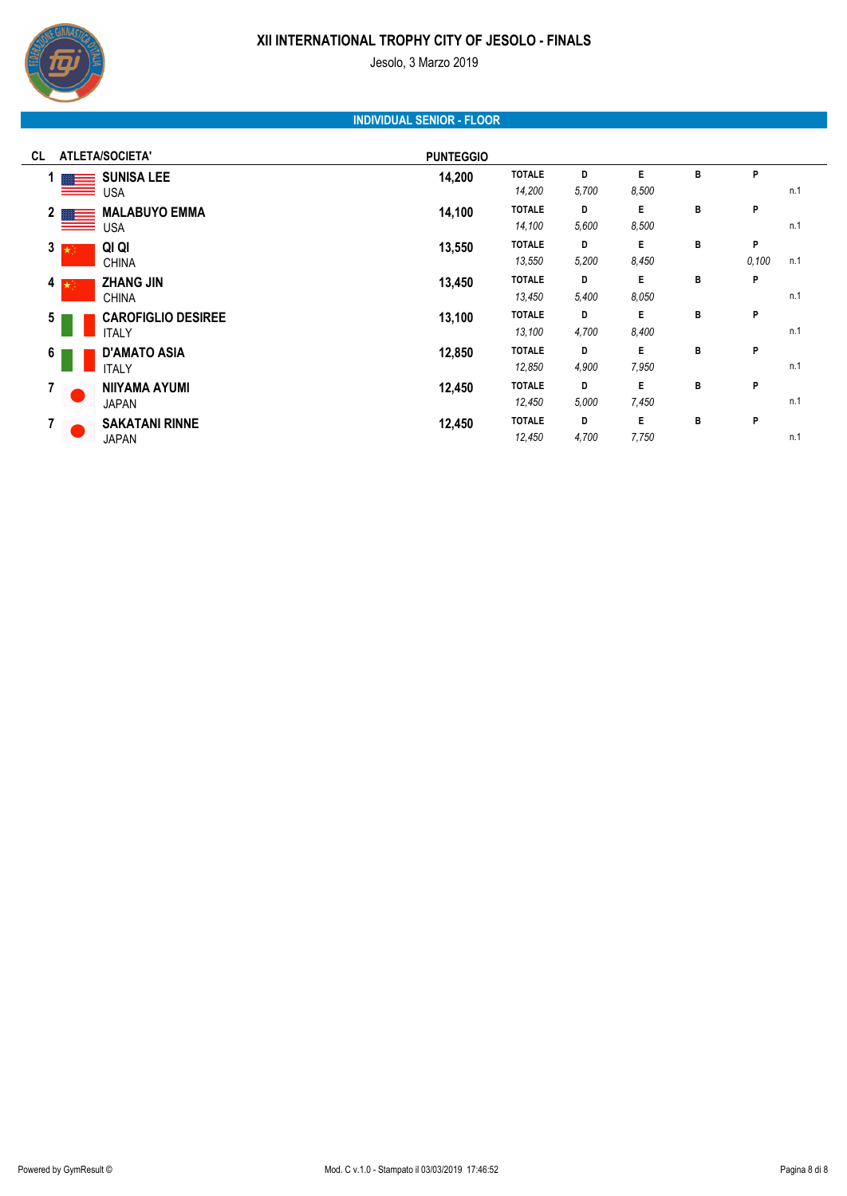

Jesolo, 3 Marzo 2019

# **INDIVIDUAL SENIOR - FLOOR**

| <b>ATLETA/SOCIETA'</b><br>CL                 | <b>PUNTEGGIO</b> |               |       |       |   |       |     |
|----------------------------------------------|------------------|---------------|-------|-------|---|-------|-----|
| <b>SUNISA LEE</b>                            | 14,200           | <b>TOTALE</b> | D     | Е     | в | P     |     |
| <b>USA</b><br>__                             |                  | 14,200        | 5,700 | 8.500 |   |       | n.1 |
| <b>MALABUYO EMMA</b><br>2 <sub>1</sub>       | 14,100           | <b>TOTALE</b> | D     | E     | B | P     |     |
| <b>USA</b><br>__                             |                  | 14,100        | 5,600 | 8,500 |   |       | n.1 |
| QI QI<br>$3 \times 7$                        | 13,550           | <b>TOTALE</b> | D     | E     | в | P     |     |
| <b>CHINA</b>                                 |                  | 13,550        | 5,200 | 8,450 |   | 0,100 | n.1 |
| <b>ZHANG JIN</b><br>4 $\star$                | 13,450           | <b>TOTALE</b> | D     | E     | В | P     |     |
| <b>CHINA</b>                                 |                  | 13,450        | 5,400 | 8.050 |   |       | n.1 |
| <b>CAROFIGLIO DESIREE</b><br>$5\phantom{.0}$ | 13,100           | <b>TOTALE</b> | D     | E     | в | P     |     |
| <b>ITALY</b>                                 |                  | 13,100        | 4,700 | 8,400 |   |       | n.1 |
| <b>D'AMATO ASIA</b><br>6                     | 12,850           | <b>TOTALE</b> | D     | Е     | в | P     |     |
| <b>ITALY</b>                                 |                  | 12,850        | 4,900 | 7,950 |   |       | n.1 |
| <b>NIIYAMA AYUMI</b><br>$\overline{7}$       | 12,450           | <b>TOTALE</b> | D     | E     | в | P     |     |
| <b>JAPAN</b>                                 |                  | 12,450        | 5,000 | 7,450 |   |       | n.1 |
| <b>SAKATANI RINNE</b><br>7                   | 12,450           | <b>TOTALE</b> | D     | E     | в | P     |     |
| <b>JAPAN</b>                                 |                  | 12,450        | 4,700 | 7,750 |   |       | n.1 |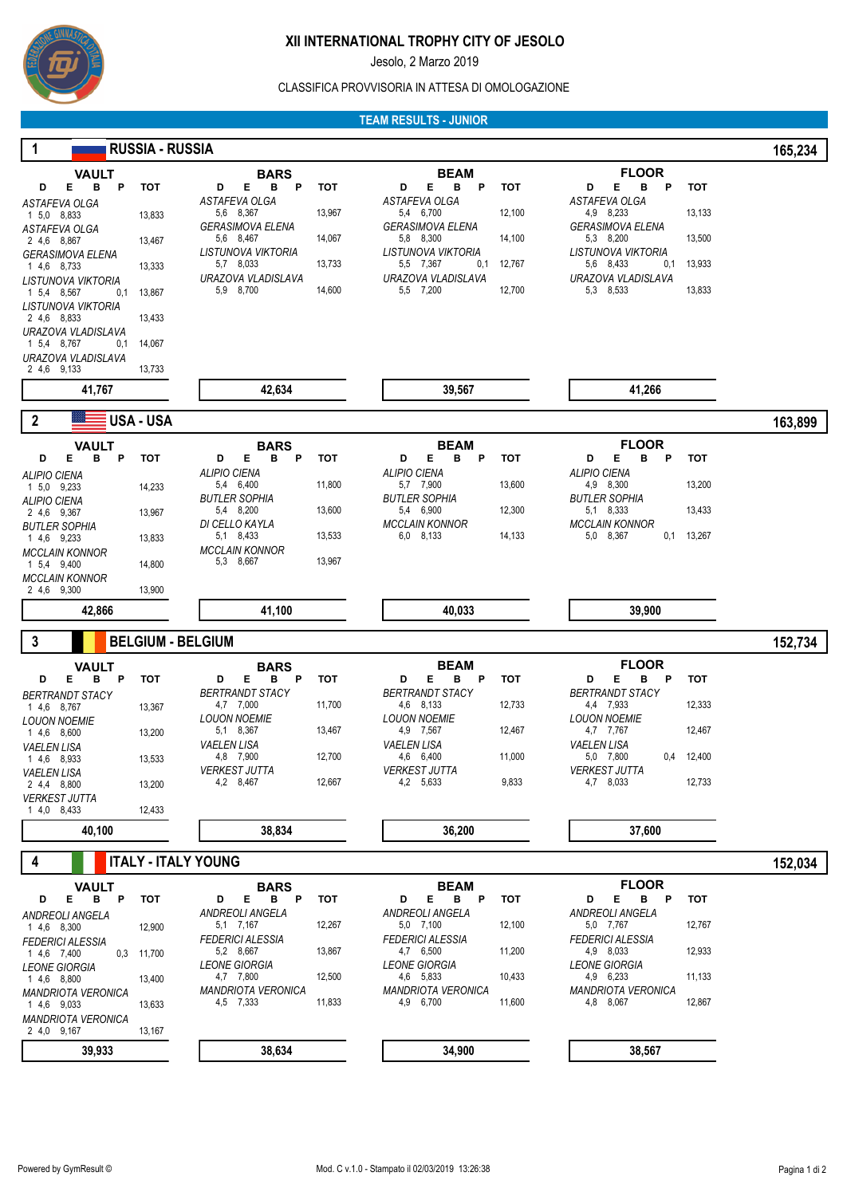

Jesolo, 2 Marzo 2019

#### CLASSIFICA PROVVISORIA IN ATTESA DI OMOLOGAZIONE

### **TEAM RESULTS - JUNIOR**

| 1                                             | <b>RUSSIA - RUSSIA</b>     |                                         |        |                                                  |                                           | 165,234    |
|-----------------------------------------------|----------------------------|-----------------------------------------|--------|--------------------------------------------------|-------------------------------------------|------------|
| <b>VAULT</b>                                  |                            | <b>BARS</b>                             |        | <b>BEAM</b>                                      | <b>FLOOR</b>                              |            |
| Е<br>в<br>P<br>D                              | <b>TOT</b>                 | Е<br>в<br>P<br>D                        | тот    | в<br>Е<br>P<br><b>TOT</b><br>D                   | Е<br>в<br>P<br>D                          | <b>TOT</b> |
| ASTAFEVA OLGA<br>1 5,0 8,833                  | 13,833                     | ASTAFEVA OLGA<br>5,6 8,367              | 13,967 | ASTAFEVA OLGA<br>5,4 6,700<br>12,100             | ASTAFEVA OLGA<br>4,9 8,233                | 13,133     |
| ASTAFEVA OLGA                                 |                            | <b>GERASIMOVA ELENA</b>                 |        | <b>GERASIMOVA ELENA</b>                          | <b>GERASIMOVA ELENA</b>                   |            |
| 2 4,6 8,867                                   | 13,467                     | 5,6 8,467<br>LISTUNOVA VIKTORIA         | 14,067 | 5,8 8,300<br>14,100<br>LISTUNOVA VIKTORIA        | 5,3 8,200<br>LISTUNOVA VIKTORIA           | 13,500     |
| <b>GERASIMOVA ELENA</b><br>1 4,6 8,733        | 13,333                     | 5,7 8,033                               | 13,733 | 0,1<br>5,5 7,367<br>12,767                       | 5,6 8,433<br>0,1                          | 13,933     |
| LISTUNOVA VIKTORIA<br>1 5,4 8,567<br>0,1      | 13,867                     | URAZOVA VLADISLAVA<br>5,9 8,700         | 14,600 | URAZOVA VLADISLAVA<br>5,5 7,200<br>12,700        | URAZOVA VLADISLAVA<br>5,3 8,533           | 13,833     |
| LISTUNOVA VIKTORIA                            |                            |                                         |        |                                                  |                                           |            |
| 2 4.6 8.833                                   | 13,433                     |                                         |        |                                                  |                                           |            |
| URAZOVA VLADISLAVA<br>1 5,4 8,767<br>0,1      | 14,067                     |                                         |        |                                                  |                                           |            |
| URAZOVA VLADISLAVA<br>2 4.6 9.133             | 13,733                     |                                         |        |                                                  |                                           |            |
| 41,767                                        |                            | 42,634                                  |        | 39,567                                           | 41,266                                    |            |
|                                               |                            |                                         |        |                                                  |                                           |            |
| $\boldsymbol{2}$                              | USA - USA                  |                                         |        |                                                  |                                           | 163,899    |
| <b>VAULT</b><br>Е<br>в<br>P<br>D              | <b>TOT</b>                 | <b>BARS</b><br>Е<br>в<br>P<br>D         | тот    | <b>BEAM</b><br>в<br>Е<br>P<br>D<br>тот           | <b>FLOOR</b><br>D<br>Е<br>в<br>P          | тот        |
| <b>ALIPIO CIENA</b>                           |                            | <b>ALIPIO CIENA</b>                     |        | <b>ALIPIO CIENA</b>                              | <b>ALIPIO CIENA</b>                       |            |
| 1 5.0 9.233<br><b>ALIPIO CIENA</b>            | 14,233                     | 5,4 6,400<br>BUTLER SOPHIA              | 11,800 | 5,7 7,900<br>13,600<br><b>BUTLER SOPHIA</b>      | 4,9 8,300<br><b>BUTLER SOPHIA</b>         | 13,200     |
| 2 4,6 9,367                                   | 13,967                     | 5,4 8,200                               | 13,600 | 5,4 6,900<br>12,300                              | 5,1 8,333                                 | 13,433     |
| <b>BUTLER SOPHIA</b><br>1 4,6 9,233           | 13,833                     | DI CELLO KAYLA<br>5,1 8,433             | 13,533 | <b>MCCLAIN KONNOR</b><br>6,0<br>8,133<br>14,133  | <b>MCCLAIN KONNOR</b><br>5,0 8,367<br>0,1 | 13,267     |
| <b>MCCLAIN KONNOR</b>                         |                            | <b>MCCLAIN KONNOR</b>                   |        |                                                  |                                           |            |
| 1 5,4 9,400<br><b>MCCLAIN KONNOR</b>          | 14,800                     | 5,3 8,667                               | 13,967 |                                                  |                                           |            |
| 2 4,6 9,300                                   | 13,900                     |                                         |        |                                                  |                                           |            |
| 42,866                                        |                            | 41,100                                  |        | 40,033                                           | 39,900                                    |            |
| 3                                             | <b>BELGIUM - BELGIUM</b>   |                                         |        |                                                  |                                           | 152,734    |
| <b>VAULT</b>                                  |                            | <b>BARS</b>                             |        | <b>BEAM</b>                                      | <b>FLOOR</b>                              |            |
| D<br>E<br>в<br>P                              | тот                        | Е<br>в<br>D<br>P                        | тот    | Е<br>в<br>D<br>P<br>тот                          | в<br>D<br>Е<br>P                          | <b>TOT</b> |
| <b>BERTRANDT STACY</b><br>1 4,6 8,767         | 13,367                     | BERTRANDT STACY<br>4,7 7,000            | 11,700 | <b>BERTRANDT STACY</b><br>4,6 8,133<br>12,733    | <b>BERTRANDT STACY</b><br>4,4 7,933       | 12,333     |
| <b>LOUON NOEMIE</b>                           |                            | <b>LOUON NOEMIE</b>                     |        | <b>LOUON NOEMIE</b>                              | <b>LOUON NOEMIE</b>                       |            |
| 1 4,6 8,600<br><b>VAELEN LISA</b>             | 13,200                     | 5,1 8,367<br><b>VAELEN LISA</b>         | 13,467 | 4,9 7,567<br>12,467<br>VAELEN LISA               | 4,7 7,767<br>VAELEN LISA                  | 12,467     |
| 1 4,6 8,933                                   | 13,533                     | 4,8 7,900                               | 12,700 | 11,000<br>4,6 6,400                              | 5,0 7,800                                 | 0,4 12,400 |
| <b>VAELEN LISA</b><br>2 4.4 8,800             | 13,200                     | VERKEST JUTTA<br>4,2 8,467              | 12,667 | <b>VERKEST JUTTA</b><br>9,833<br>4,2 5,633       | VERKEST JUTTA<br>4,7 8,033                | 12,733     |
| <b>VERKEST JUTTA</b>                          |                            |                                         |        |                                                  |                                           |            |
| 1 4,0 8,433                                   |                            |                                         |        |                                                  |                                           |            |
|                                               | 12,433                     |                                         |        |                                                  |                                           |            |
| 40,100                                        |                            | 38,834                                  |        | 36,200                                           | 37,600                                    |            |
| 4                                             | <b>ITALY - ITALY YOUNG</b> |                                         |        |                                                  |                                           | 152,034    |
| <b>VAULT</b><br>E.<br>B <sub>P</sub><br>D     | тот                        | <b>BARS</b><br>Е<br>B <sub>P</sub><br>D | тот    | <b>BEAM</b><br>Е<br>D<br>тот                     | <b>FLOOR</b><br>B P<br>Е<br>D             | тот        |
| <b>ANDREOLI ANGELA</b>                        |                            | ANDREOLI ANGELA                         |        | B P<br>ANDREOLI ANGELA                           | <b>ANDREOLI ANGELA</b>                    |            |
| 1 4,6 8,300                                   | 12,900                     | 5,1 7,167                               | 12,267 | 5,0 7,100<br>12,100                              | 5,0 7,767                                 | 12,767     |
| <b>FEDERICI ALESSIA</b><br>1 4,6 7,400<br>0,3 | 11,700                     | <b>FEDERICI ALESSIA</b><br>5,2 8,667    | 13,867 | <b>FEDERICI ALESSIA</b><br>4,7 6,500<br>11,200   | <b>FEDERICI ALESSIA</b><br>4,9 8,033      | 12,933     |
| <b>LEONE GIORGIA</b>                          |                            | <b>LEONE GIORGIA</b>                    |        | <b>LEONE GIORGIA</b>                             | <b>LEONE GIORGIA</b>                      |            |
| 1 4,6 8,800<br><b>MANDRIOTA VERONICA</b>      | 13,400                     | 4,7 7,800<br><b>MANDRIOTA VERONICA</b>  | 12,500 | 4,6 5,833<br>10,433<br><b>MANDRIOTA VERONICA</b> | 4,9 6,233<br><b>MANDRIOTA VERONICA</b>    | 11,133     |
| 1 4,6 9,033                                   | 13,633                     | 4,5 7,333                               | 11,833 | 4,9 6,700<br>11,600                              | 4,8 8,067                                 | 12,867     |
| <b>MANDRIOTA VERONICA</b><br>2 4.0 9.167      | 13,167                     |                                         |        |                                                  |                                           |            |
| 39,933                                        |                            | 38,634                                  |        | 34,900                                           | 38,567                                    |            |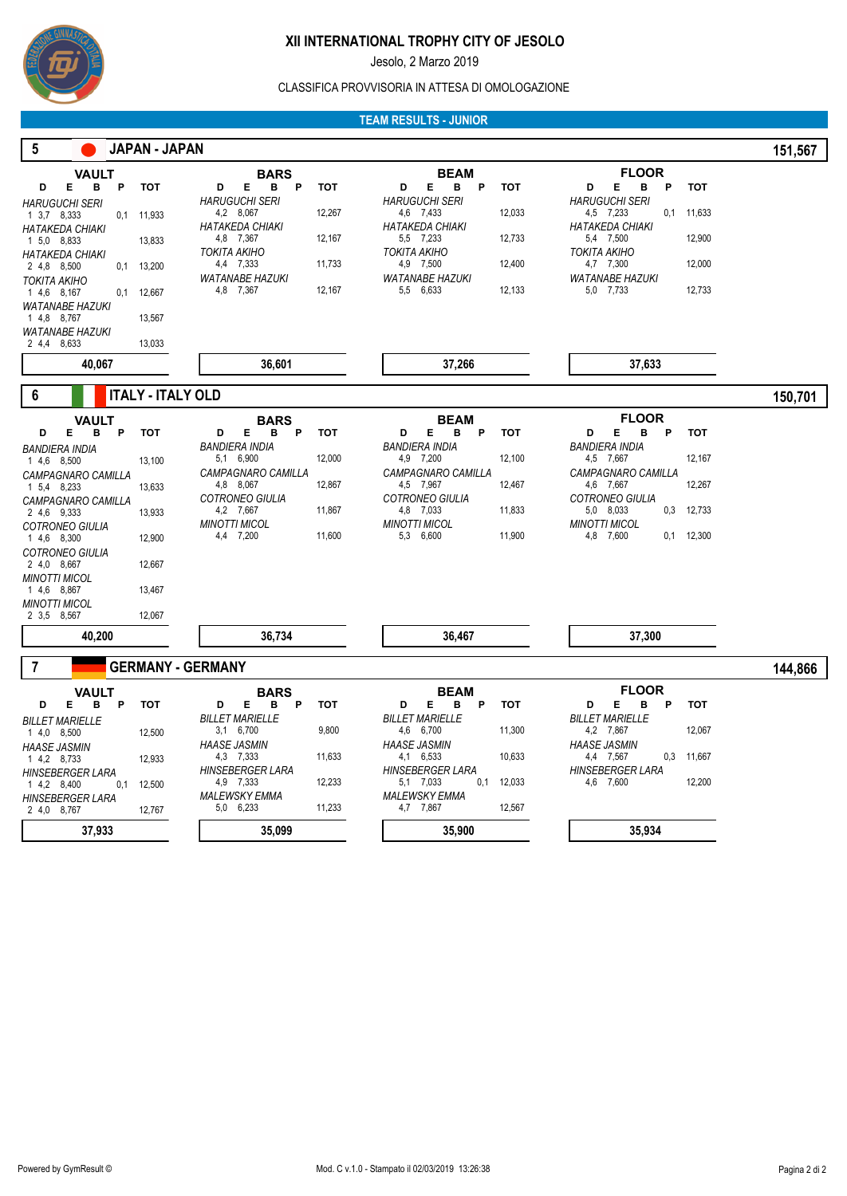

Jesolo, 2 Marzo 2019

#### CLASSIFICA PROVVISORIA IN ATTESA DI OMOLOGAZIONE

#### **TEAM RESULTS - JUNIOR**

| $\sqrt{5}$<br>JAPAN - JAPAN                                                                                                                                                                                                                                                                                                                                                                            |                                                                                                                                                                                                                                     |                                                                                                                                                                                                                                            |                                                                                                                                                                                                                                                          | 151,567 |
|--------------------------------------------------------------------------------------------------------------------------------------------------------------------------------------------------------------------------------------------------------------------------------------------------------------------------------------------------------------------------------------------------------|-------------------------------------------------------------------------------------------------------------------------------------------------------------------------------------------------------------------------------------|--------------------------------------------------------------------------------------------------------------------------------------------------------------------------------------------------------------------------------------------|----------------------------------------------------------------------------------------------------------------------------------------------------------------------------------------------------------------------------------------------------------|---------|
| VAULT<br>Е<br>в<br>D<br>P<br>тот<br><b>HARUGUCHI SERI</b><br>1 3.7 8.333<br>11,933<br>0,1<br><b>HATAKEDA CHIAKI</b><br>1 5,0 8,833<br>13,833<br><b>HATAKEDA CHIAKI</b><br>2 4,8 8,500<br>0,1<br>13,200<br>TOKITA AKIHO<br>1 4,6 8,167<br>12,667<br>0,1<br><b>WATANABE HAZUKI</b><br>1 4.8 8,767<br>13,567<br><b>WATANABE HAZUKI</b><br>2 4,4 8,633<br>13,033                                           | BARS<br>Е<br>$\mathsf{P}$<br><b>TOT</b><br>D<br>в<br><i>HARUGUCHI SERI</i><br>12,267<br>4,2 8,067<br>HATAKEDA CHIAKI<br>12,167<br>4,8 7,367<br>TOKITA AKIHO<br>4,4 7,333<br>11,733<br><b>WATANABE HAZUKI</b><br>4,8 7,367<br>12,167 | <b>BEAM</b><br>Е<br>в<br>D<br>P<br>тот<br><b>HARUGUCHI SERI</b><br>12,033<br>4,6 7,433<br><b>HATAKEDA CHIAKI</b><br>12,733<br>5,5 7,233<br>TOKITA AKIHO<br>4,9 7,500<br>12,400<br><b>WATANABE HAZUKI</b><br>5,5 6,633<br>12,133            | <b>FLOOR</b><br>Е<br>P<br>D<br>в<br>тот<br><b>HARUGUCHI SERI</b><br>4,5 7,233<br>0,1<br>11,633<br><b>HATAKEDA CHIAKI</b><br>12,900<br>5,4 7,500<br><b>TOKITA AKIHO</b><br>4,7 7,300<br>12,000<br><b>WATANABE HAZUKI</b><br>12,733<br>5,0 7,733           |         |
| 40,067                                                                                                                                                                                                                                                                                                                                                                                                 | 36,601                                                                                                                                                                                                                              | 37,266                                                                                                                                                                                                                                     | 37,633                                                                                                                                                                                                                                                   |         |
| <b>ITALY - ITALY OLD</b><br>6                                                                                                                                                                                                                                                                                                                                                                          |                                                                                                                                                                                                                                     |                                                                                                                                                                                                                                            |                                                                                                                                                                                                                                                          | 150,701 |
| <b>VAULT</b><br>D<br>Е<br>в<br>P<br><b>TOT</b><br><b>BANDIERA INDIA</b><br>1 4,6 8,500<br>13,100<br>CAMPAGNARO CAMILLA<br>1 5.4 8.233<br>13,633<br>CAMPAGNARO CAMILLA<br>2 4.6 9.333<br>13,933<br><b>COTRONEO GIULIA</b><br>1 4,6 8,300<br>12,900<br><b>COTRONEO GIULIA</b><br>2 4,0 8,667<br>12,667<br><b>MINOTTI MICOL</b><br>1 4.6 8,867<br>13,467<br><b>MINOTTI MICOL</b><br>2 3,5 8,567<br>12,067 | BARS<br>Е<br>в<br>P<br><b>TOT</b><br>D<br>BANDIERA INDIA<br>5,1 6,900<br>12,000<br>CAMPAGNARO CAMILLA<br>4,8 8,067<br>12,867<br><b>COTRONEO GIULIA</b><br>11,867<br>4,2 7,667<br><b>MINOTTI MICOL</b><br>4,4 7,200<br>11,600        | <b>BEAM</b><br>в<br>D<br>Е<br>P<br><b>TOT</b><br><b>BANDIERA INDIA</b><br>4,9 7,200<br>12,100<br>CAMPAGNARO CAMILLA<br>4,5 7,967<br>12,467<br><b>COTRONEO GIULIA</b><br>11,833<br>4,8 7,033<br><b>MINOTTI MICOL</b><br>5,3 6,600<br>11,900 | <b>FLOOR</b><br>В<br>D<br>Е<br>P<br><b>TOT</b><br><b>BANDIERA INDIA</b><br>4,5 7,667<br>12,167<br>CAMPAGNARO CAMILLA<br>4,6 7,667<br>12,267<br><b>COTRONEO GIULIA</b><br>5,0 8,033<br>0,3<br>12,733<br><b>MINOTTI MICOL</b><br>4,8 7,600<br>$0,1$ 12,300 |         |
| 40,200                                                                                                                                                                                                                                                                                                                                                                                                 | 36,734                                                                                                                                                                                                                              | 36,467                                                                                                                                                                                                                                     | 37,300                                                                                                                                                                                                                                                   |         |
| 7<br><b>GERMANY - GERMANY</b><br><b>VAULT</b><br>D<br>Е<br>в<br>P<br><b>TOT</b><br><b>BILLET MARIELLE</b><br>12,500<br>1 4,0 8,500<br><b>HAASE JASMIN</b><br>1 4,2 8,733<br>12,933<br><b>HINSEBERGER LARA</b><br>1 4,2 8,400<br>0,1<br>12,500<br><b>HINSEBERGER LARA</b><br>2 4,0 8,767<br>12,767                                                                                                      | BARS<br>Е<br>в<br>P<br><b>TOT</b><br>D<br><b>BILLET MARIELLE</b><br>3,1 6,700<br>9,800<br>HAASE JASMIN<br>4,3 7,333<br>11,633<br>HINSEBERGER LARA<br>12,233<br>4,9 7,333<br>MALEWSKY EMMA<br>11,233<br>5,0 6,233                    | <b>BEAM</b><br>в<br>D<br>Е<br>P<br><b>TOT</b><br><b>BILLET MARIELLE</b><br>4,6 6,700<br>11,300<br>HAASE JASMIN<br>4,1 6,533<br>10,633<br>HINSEBERGER LARA<br>5,1 7,033<br>0,1<br>12,033<br><b>MALEWSKY EMMA</b><br>4,7 7,867<br>12,567     | <b>FLOOR</b><br>D<br>Е<br>в<br>P<br><b>TOT</b><br><b>BILLET MARIELLE</b><br>4,2 7,867<br>12,067<br><b>HAASE JASMIN</b><br>4,4 7,567<br>0,3<br>11,667<br>HINSEBERGER LARA<br>4,6 7,600<br>12,200                                                          | 144,866 |
| 37,933                                                                                                                                                                                                                                                                                                                                                                                                 | 35,099                                                                                                                                                                                                                              | 35,900                                                                                                                                                                                                                                     | 35,934                                                                                                                                                                                                                                                   |         |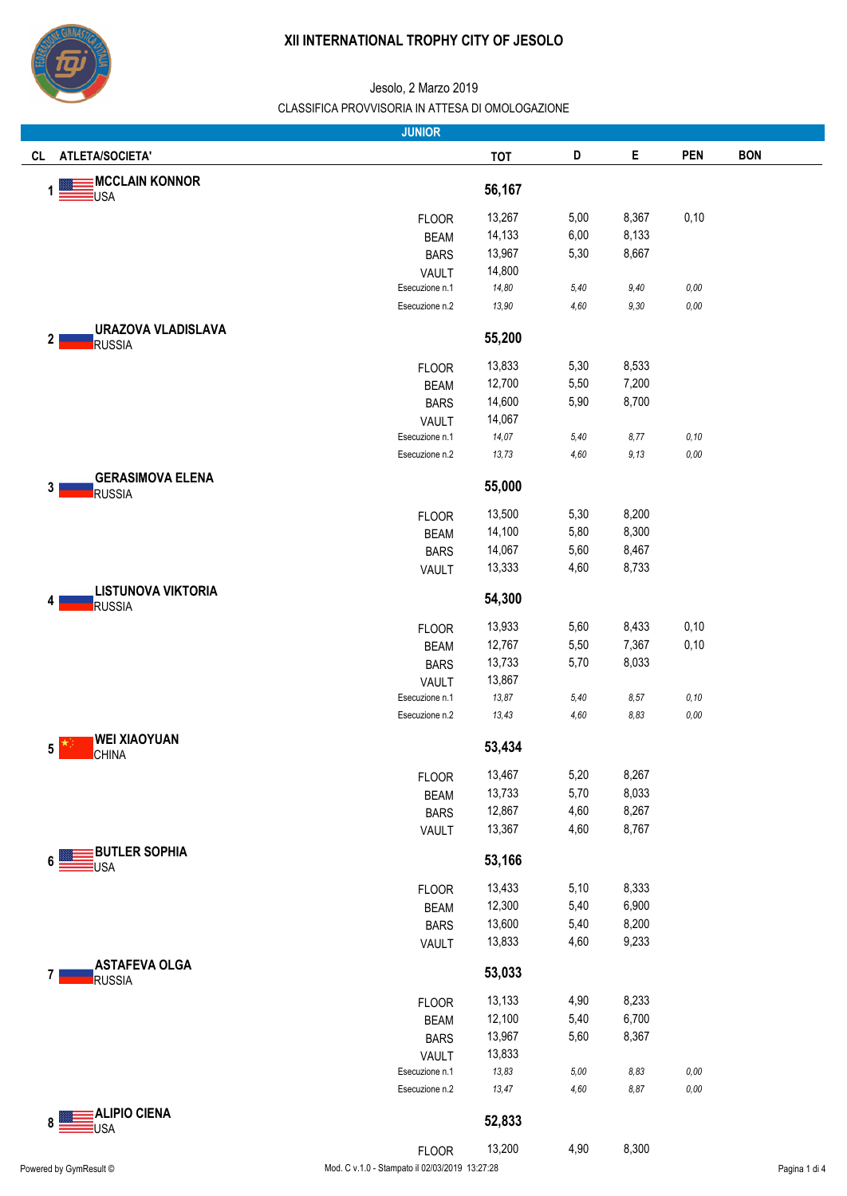

|                                               | <b>JUNIOR</b>                                  |            |      |        |            |               |
|-----------------------------------------------|------------------------------------------------|------------|------|--------|------------|---------------|
| ATLETA/SOCIETA'<br>CL                         |                                                | <b>TOT</b> | D    | E      | <b>PEN</b> | <b>BON</b>    |
| <b>MCCLAIN KONNOR</b><br><u>E</u> USA         |                                                | 56,167     |      |        |            |               |
|                                               | <b>FLOOR</b>                                   | 13,267     | 5,00 | 8,367  | 0,10       |               |
|                                               | <b>BEAM</b>                                    | 14,133     | 6,00 | 8,133  |            |               |
|                                               | <b>BARS</b>                                    | 13,967     | 5,30 | 8,667  |            |               |
|                                               | <b>VAULT</b>                                   | 14,800     |      |        |            |               |
|                                               | Esecuzione n.1                                 | 14,80      | 5,40 | 9,40   | $0,00$     |               |
|                                               | Esecuzione n.2                                 | 13,90      | 4,60 | $9,30$ | $0,00$     |               |
| <b>URAZOVA VLADISLAVA</b><br>2<br>RUSSIA      |                                                | 55,200     |      |        |            |               |
|                                               | <b>FLOOR</b>                                   | 13,833     | 5,30 | 8,533  |            |               |
|                                               | <b>BEAM</b>                                    | 12,700     | 5,50 | 7,200  |            |               |
|                                               | <b>BARS</b>                                    | 14,600     | 5,90 | 8,700  |            |               |
|                                               | VAULT                                          | 14,067     |      |        |            |               |
|                                               | Esecuzione n.1                                 | 14,07      | 5,40 | 8,77   | 0, 10      |               |
|                                               | Esecuzione n.2                                 | 13,73      | 4,60 | 9,13   | $0,00$     |               |
| <b>GERASIMOVA ELENA</b><br>3<br><b>RUSSIA</b> |                                                | 55,000     |      |        |            |               |
|                                               | <b>FLOOR</b>                                   | 13,500     | 5,30 | 8,200  |            |               |
|                                               | <b>BEAM</b>                                    | 14,100     | 5,80 | 8,300  |            |               |
|                                               | <b>BARS</b>                                    | 14,067     | 5,60 | 8,467  |            |               |
|                                               | VAULT                                          | 13,333     | 4,60 | 8,733  |            |               |
| <b>LISTUNOVA VIKTORIA</b><br>RUSSIA           |                                                | 54,300     |      |        |            |               |
|                                               | <b>FLOOR</b>                                   | 13,933     | 5,60 | 8,433  | 0,10       |               |
|                                               | <b>BEAM</b>                                    | 12,767     | 5,50 | 7,367  | 0,10       |               |
|                                               | <b>BARS</b>                                    | 13,733     | 5,70 | 8,033  |            |               |
|                                               | <b>VAULT</b>                                   | 13,867     |      |        |            |               |
|                                               | Esecuzione n.1                                 | 13,87      | 5,40 | 8,57   | 0, 10      |               |
|                                               | Esecuzione n.2                                 | 13,43      | 4,60 | 8,83   | $0,00$     |               |
| <b>WEI XIAOYUAN</b><br>5<br><b>CHINA</b>      |                                                | 53,434     |      |        |            |               |
|                                               | <b>FLOOR</b>                                   | 13,467     | 5,20 | 8,267  |            |               |
|                                               | <b>BEAM</b>                                    | 13,733     | 5,70 | 8,033  |            |               |
|                                               | <b>BARS</b>                                    | 12,867     | 4,60 | 8,267  |            |               |
| <b>BUTLER SOPHIA</b>                          | VAULT                                          | 13,367     | 4,60 | 8,767  |            |               |
| USA                                           |                                                | 53,166     |      |        |            |               |
|                                               | <b>FLOOR</b>                                   | 13,433     | 5,10 | 8,333  |            |               |
|                                               | <b>BEAM</b>                                    | 12,300     | 5,40 | 6,900  |            |               |
|                                               | <b>BARS</b>                                    | 13,600     | 5,40 | 8,200  |            |               |
|                                               | VAULT                                          | 13,833     | 4,60 | 9,233  |            |               |
| <b>ASTAFEVA OLGA</b><br>RUSSIA                |                                                | 53,033     |      |        |            |               |
|                                               | <b>FLOOR</b>                                   | 13,133     | 4,90 | 8,233  |            |               |
|                                               | <b>BEAM</b>                                    | 12,100     | 5,40 | 6,700  |            |               |
|                                               | <b>BARS</b>                                    | 13,967     | 5,60 | 8,367  |            |               |
|                                               | <b>VAULT</b>                                   | 13,833     |      |        |            |               |
|                                               | Esecuzione n.1                                 | 13,83      | 5,00 | 8,83   | 0,00       |               |
|                                               | Esecuzione n.2                                 | 13,47      | 4,60 | 8,87   | 0,00       |               |
| <b>ALIPIO CIENA</b><br>USA                    |                                                | 52,833     |      |        |            |               |
|                                               | <b>FLOOR</b>                                   | 13,200     | 4,90 | 8,300  |            |               |
| Powered by GymResult ©                        | Mod. C v.1.0 - Stampato il 02/03/2019 13:27:28 |            |      |        |            | Pagina 1 di 4 |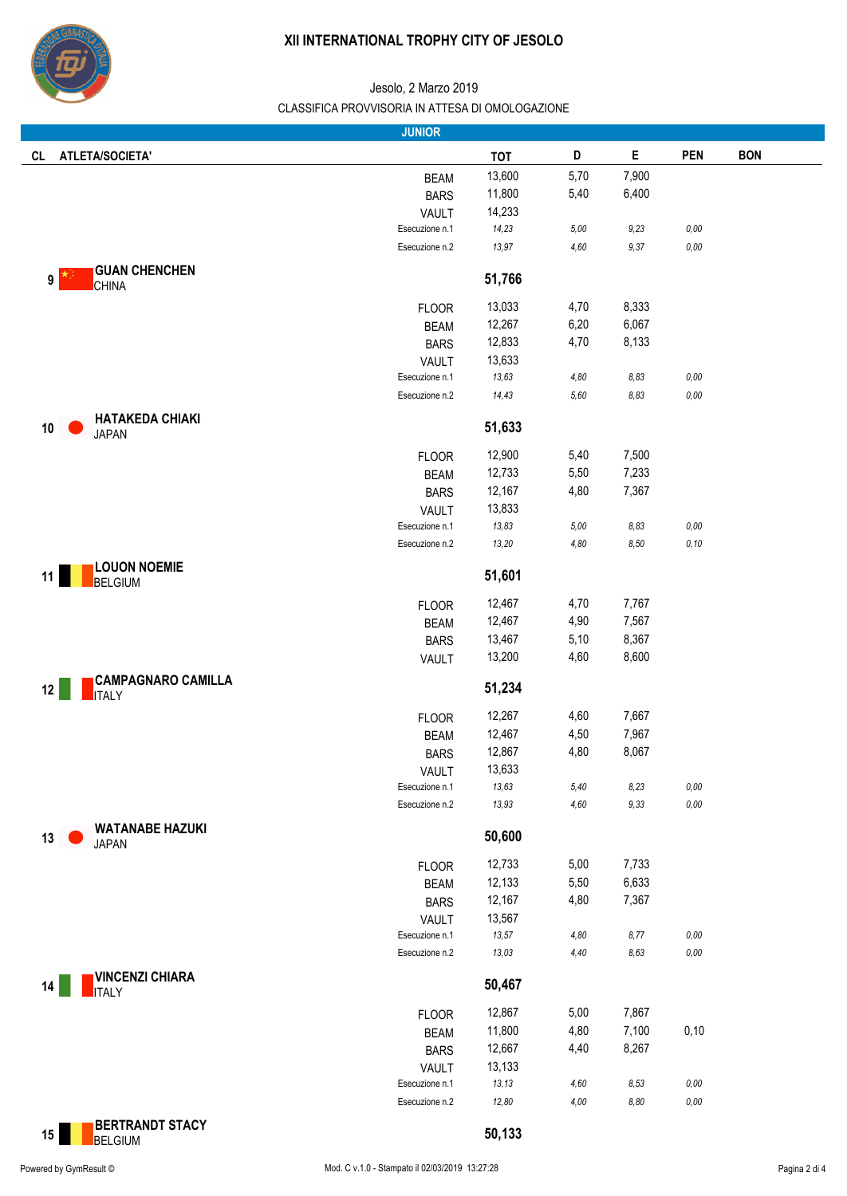

|                                                 | <b>JUNIOR</b>  |            |        |             |            |            |
|-------------------------------------------------|----------------|------------|--------|-------------|------------|------------|
| ATLETA/SOCIETA'<br><b>CL</b>                    |                | <b>TOT</b> | D      | $\mathsf E$ | <b>PEN</b> | <b>BON</b> |
|                                                 | <b>BEAM</b>    | 13,600     | 5,70   | 7,900       |            |            |
|                                                 | <b>BARS</b>    | 11,800     | 5,40   | 6,400       |            |            |
|                                                 | VAULT          | 14,233     |        |             |            |            |
|                                                 | Esecuzione n.1 | 14,23      | 5,00   | 9,23        | $0,00$     |            |
|                                                 | Esecuzione n.2 | 13,97      | 4,60   | 9,37        | $0,00$     |            |
| <b>GUAN CHENCHEN</b>                            |                |            |        |             |            |            |
| 9<br><b>CHINA</b>                               |                | 51,766     |        |             |            |            |
|                                                 | <b>FLOOR</b>   | 13,033     | 4,70   | 8,333       |            |            |
|                                                 | <b>BEAM</b>    | 12,267     | 6,20   | 6,067       |            |            |
|                                                 | <b>BARS</b>    | 12,833     | 4,70   | 8,133       |            |            |
|                                                 | VAULT          | 13,633     |        |             |            |            |
|                                                 | Esecuzione n.1 | 13,63      | 4,80   | 8,83        | $0,00$     |            |
|                                                 | Esecuzione n.2 | 14,43      | $5,60$ | 8,83        | $0,00$     |            |
|                                                 |                |            |        |             |            |            |
| <b>HATAKEDA CHIAKI</b><br>10<br><b>JAPAN</b>    |                | 51,633     |        |             |            |            |
|                                                 | <b>FLOOR</b>   | 12,900     | 5,40   | 7,500       |            |            |
|                                                 | <b>BEAM</b>    | 12,733     | 5,50   | 7,233       |            |            |
|                                                 | <b>BARS</b>    | 12,167     | 4,80   | 7,367       |            |            |
|                                                 | VAULT          | 13,833     |        |             |            |            |
|                                                 | Esecuzione n.1 | 13,83      | 5,00   | 8,83        | $0,00$     |            |
|                                                 | Esecuzione n.2 | 13,20      | 4,80   | 8,50        | 0, 10      |            |
| <b>LOUON NOEMIE</b><br>11<br><b>BELGIUM</b>     |                | 51,601     |        |             |            |            |
|                                                 |                |            |        |             |            |            |
|                                                 | <b>FLOOR</b>   | 12,467     | 4,70   | 7,767       |            |            |
|                                                 | <b>BEAM</b>    | 12,467     | 4,90   | 7,567       |            |            |
|                                                 | <b>BARS</b>    | 13,467     | 5,10   | 8,367       |            |            |
|                                                 | VAULT          | 13,200     | 4,60   | 8,600       |            |            |
| <b>CAMPAGNARO CAMILLA</b><br>12<br><b>ITALY</b> |                | 51,234     |        |             |            |            |
|                                                 | <b>FLOOR</b>   | 12,267     | 4,60   | 7,667       |            |            |
|                                                 | <b>BEAM</b>    | 12,467     | 4,50   | 7,967       |            |            |
|                                                 | <b>BARS</b>    | 12,867     | 4,80   | 8,067       |            |            |
|                                                 | VAULT          | 13,633     |        |             |            |            |
|                                                 | Esecuzione n.1 | 13,63      | 5,40   | 8,23        | $0,00$     |            |
|                                                 | Esecuzione n.2 | 13,93      | 4,60   | 9,33        | $0,00$     |            |
| <b>WATANABE HAZUKI</b><br>13                    |                | 50,600     |        |             |            |            |
| <b>JAPAN</b>                                    |                |            |        |             |            |            |
|                                                 | <b>FLOOR</b>   | 12,733     | 5,00   | 7,733       |            |            |
|                                                 | <b>BEAM</b>    | 12,133     | 5,50   | 6,633       |            |            |
|                                                 | <b>BARS</b>    | 12,167     | 4,80   | 7,367       |            |            |
|                                                 | <b>VAULT</b>   | 13,567     |        |             |            |            |
|                                                 | Esecuzione n.1 | 13,57      | 4,80   | 8,77        | 0,00       |            |
|                                                 | Esecuzione n.2 | 13,03      | 4,40   | 8,63        | 0,00       |            |
| <b>VINCENZI CHIARA</b><br>14<br><b>ITALY</b>    |                | 50,467     |        |             |            |            |
|                                                 | <b>FLOOR</b>   | 12,867     | 5,00   | 7,867       |            |            |
|                                                 | <b>BEAM</b>    | 11,800     | 4,80   | 7,100       | 0,10       |            |
|                                                 | <b>BARS</b>    | 12,667     | 4,40   | 8,267       |            |            |
|                                                 | VAULT          | 13,133     |        |             |            |            |
|                                                 | Esecuzione n.1 | 13, 13     | 4,60   | 8,53        | $0,00$     |            |
|                                                 | Esecuzione n.2 | 12,80      | 4,00   | 8,80        | $0,00$     |            |
|                                                 |                |            |        |             |            |            |
| <b>BERTRANDT STACY</b><br>15<br><b>BELGIUM</b>  |                | 50,133     |        |             |            |            |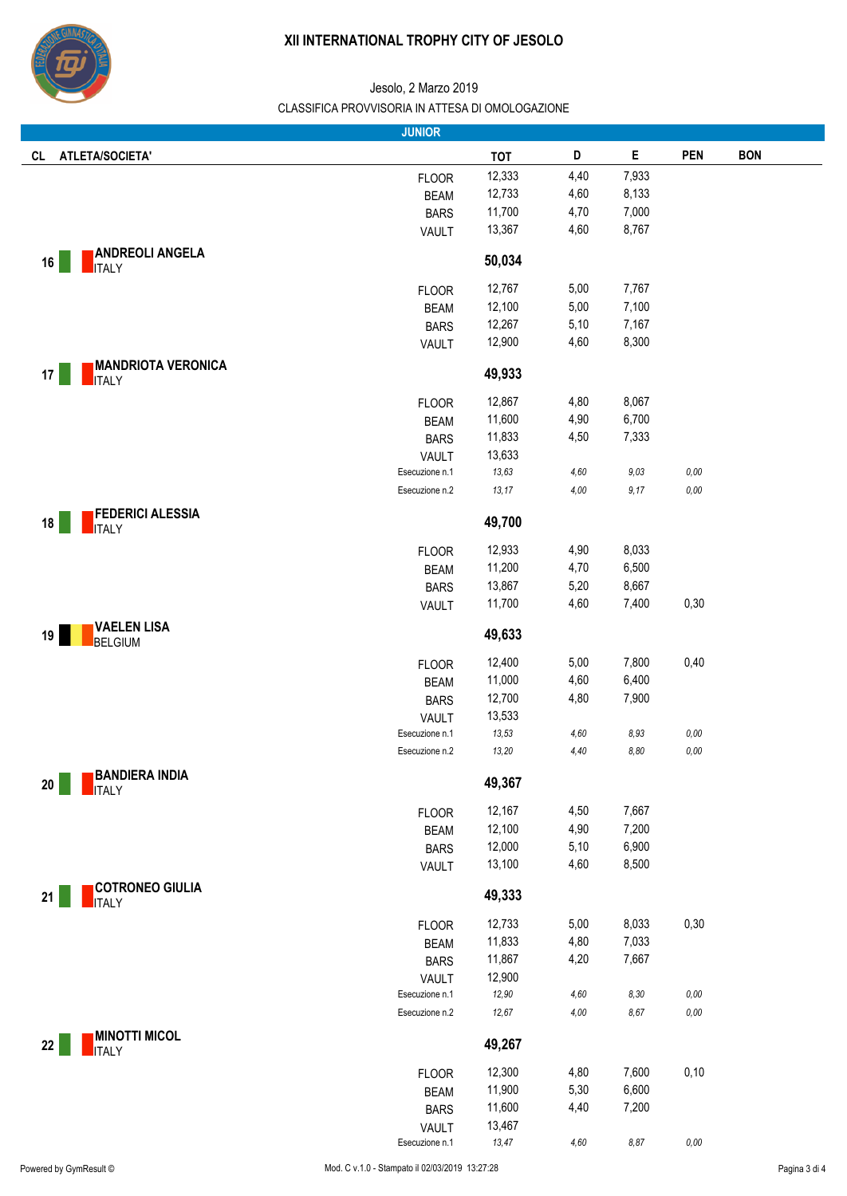

|                                              | <b>JUNIOR</b>                  |                 |          |          |            |            |
|----------------------------------------------|--------------------------------|-----------------|----------|----------|------------|------------|
| ATLETA/SOCIETA'<br>CL                        |                                | <b>TOT</b>      | D        | E        | <b>PEN</b> | <b>BON</b> |
|                                              | <b>FLOOR</b>                   | 12,333          | 4,40     | 7,933    |            |            |
|                                              | <b>BEAM</b>                    | 12,733          | 4,60     | 8,133    |            |            |
|                                              | <b>BARS</b>                    | 11,700          | 4,70     | 7,000    |            |            |
|                                              | VAULT                          | 13,367          | 4,60     | 8,767    |            |            |
|                                              |                                |                 |          |          |            |            |
| <b>ANDREOLI ANGELA</b><br>16<br><b>ITALY</b> |                                | 50,034          |          |          |            |            |
|                                              |                                |                 |          |          |            |            |
|                                              | <b>FLOOR</b>                   | 12,767          | 5,00     | 7,767    |            |            |
|                                              | <b>BEAM</b>                    | 12,100          | 5,00     | 7,100    |            |            |
|                                              | <b>BARS</b>                    | 12,267          | 5,10     | 7,167    |            |            |
|                                              | <b>VAULT</b>                   | 12,900          | 4,60     | 8,300    |            |            |
| <b>MANDRIOTA VERONICA</b>                    |                                |                 |          |          |            |            |
| 17<br><b>ITALY</b>                           |                                | 49,933          |          |          |            |            |
|                                              | <b>FLOOR</b>                   | 12,867          | 4,80     | 8,067    |            |            |
|                                              | <b>BEAM</b>                    | 11,600          | 4,90     | 6,700    |            |            |
|                                              | <b>BARS</b>                    | 11,833          | 4,50     | 7,333    |            |            |
|                                              | VAULT                          | 13,633          |          |          |            |            |
|                                              | Esecuzione n.1                 | 13,63           | 4,60     | 9,03     | 0,00       |            |
|                                              | Esecuzione n.2                 | 13,17           | 4,00     | 9,17     | $0,00$     |            |
| <b>FEDERICI ALESSIA</b>                      |                                |                 |          |          |            |            |
| 18<br><b>ITALY</b>                           |                                | 49,700          |          |          |            |            |
|                                              |                                | 12,933          | 4,90     | 8,033    |            |            |
|                                              | <b>FLOOR</b>                   |                 | 4,70     | 6,500    |            |            |
|                                              | <b>BEAM</b>                    | 11,200          |          |          |            |            |
|                                              | <b>BARS</b>                    | 13,867          | 5,20     | 8,667    |            |            |
|                                              | VAULT                          | 11,700          | 4,60     | 7,400    | 0,30       |            |
| <b>VAELEN LISA</b><br>19                     |                                | 49,633          |          |          |            |            |
| <b>BELGIUM</b>                               |                                |                 |          |          |            |            |
|                                              | <b>FLOOR</b>                   | 12,400          | 5,00     | 7,800    | 0,40       |            |
|                                              | <b>BEAM</b>                    | 11,000          | 4,60     | 6,400    |            |            |
|                                              | <b>BARS</b>                    | 12,700          | 4,80     | 7,900    |            |            |
|                                              | <b>VAULT</b>                   | 13,533          |          |          |            |            |
|                                              | Esecuzione n.1                 | 13,53           | 4,60     | 8,93     | $0,00$     |            |
|                                              | Esecuzione n.2                 | 13,20           | 4,40     | 8,80     | $0,00$     |            |
| <b>BANDIERA INDIA</b>                        |                                |                 |          |          |            |            |
| $20\,$<br><b>ITALY</b>                       |                                | 49,367          |          |          |            |            |
|                                              | <b>FLOOR</b>                   | 12,167          | 4,50     | 7,667    |            |            |
|                                              | <b>BEAM</b>                    | 12,100          | 4,90     | 7,200    |            |            |
|                                              | <b>BARS</b>                    | 12,000          | 5,10     | 6,900    |            |            |
|                                              | VAULT                          | 13,100          | 4,60     | 8,500    |            |            |
|                                              |                                |                 |          |          |            |            |
| <b>COTRONEO GIULIA</b><br>ITALY<br>21        |                                | 49,333          |          |          |            |            |
|                                              |                                | 12,733          | 5,00     | 8,033    | 0,30       |            |
|                                              | <b>FLOOR</b>                   | 11,833          | 4,80     | 7,033    |            |            |
|                                              | <b>BEAM</b>                    | 11,867          | 4,20     | 7,667    |            |            |
|                                              | <b>BARS</b>                    |                 |          |          |            |            |
|                                              | <b>VAULT</b><br>Esecuzione n.1 | 12,900<br>12,90 | $4,60\,$ | $8,30\,$ | $0,00$     |            |
|                                              | Esecuzione n.2                 | 12,67           | 4,00     | $8,67$   | $0,00$     |            |
|                                              |                                |                 |          |          |            |            |
| <b>MINOTTI MICOL</b><br>22                   |                                | 49,267          |          |          |            |            |
| <b>ITALY</b>                                 |                                |                 |          |          |            |            |
|                                              | <b>FLOOR</b>                   | 12,300          | 4,80     | 7,600    | 0,10       |            |
|                                              | <b>BEAM</b>                    | 11,900          | 5,30     | 6,600    |            |            |
|                                              | <b>BARS</b>                    | 11,600          | 4,40     | 7,200    |            |            |
|                                              | <b>VAULT</b>                   | 13,467          |          |          |            |            |
|                                              | Esecuzione n.1                 | 13,47           | 4,60     | $8,87$   | $0,00$     |            |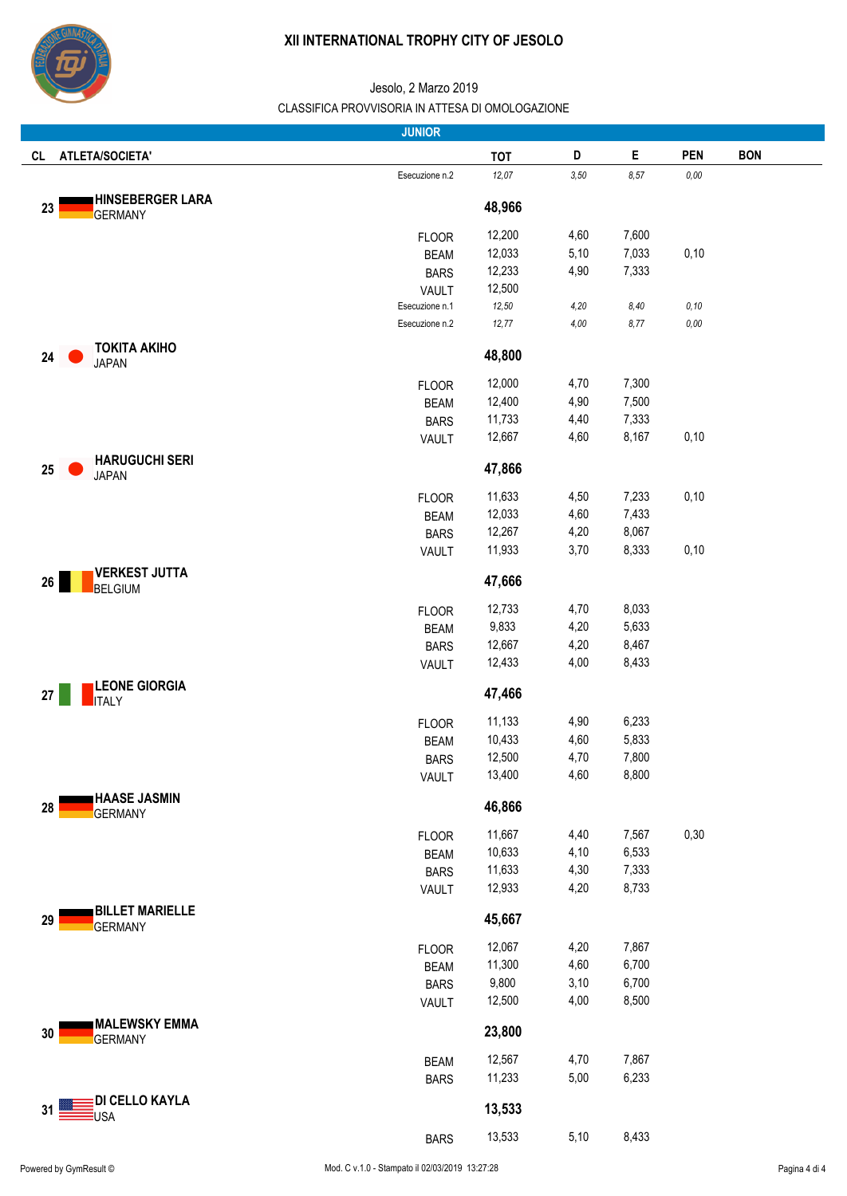

|                                                 | <b>JUNIOR</b>               |                  |              |                |            |            |
|-------------------------------------------------|-----------------------------|------------------|--------------|----------------|------------|------------|
| <b>ATLETA/SOCIETA'</b><br>CL                    |                             | <b>TOT</b>       | D            | Е              | <b>PEN</b> | <b>BON</b> |
|                                                 | Esecuzione n.2              | 12,07            | $3,50$       | 8,57           | $0,00$     |            |
| <b>HINSEBERGER LARA</b><br>23<br><b>GERMANY</b> |                             | 48,966           |              |                |            |            |
|                                                 | <b>FLOOR</b>                | 12,200           | 4,60         | 7,600          |            |            |
|                                                 | <b>BEAM</b>                 | 12,033           | 5,10         | 7,033          | 0,10       |            |
|                                                 | <b>BARS</b>                 | 12,233           | 4,90         | 7,333          |            |            |
|                                                 | VAULT                       | 12,500           |              |                |            |            |
|                                                 | Esecuzione n.1              | 12,50            | 4,20         | 8,40           | 0, 10      |            |
|                                                 | Esecuzione n.2              | 12,77            | 4,00         | 8,77           | 0,00       |            |
| <b>TOKITA AKIHO</b><br>24<br><b>JAPAN</b>       |                             | 48,800           |              |                |            |            |
|                                                 |                             | 12,000           | 4,70         | 7,300          |            |            |
|                                                 | <b>FLOOR</b><br><b>BEAM</b> | 12,400           | 4,90         | 7,500          |            |            |
|                                                 | <b>BARS</b>                 | 11,733           | 4,40         | 7,333          |            |            |
|                                                 | <b>VAULT</b>                | 12,667           | 4,60         | 8,167          | 0,10       |            |
| <b>HARUGUCHI SERI</b><br>25                     |                             | 47,866           |              |                |            |            |
| <b>JAPAN</b>                                    |                             |                  |              |                |            |            |
|                                                 | <b>FLOOR</b>                | 11,633<br>12,033 | 4,50<br>4,60 | 7,233<br>7,433 | 0,10       |            |
|                                                 | <b>BEAM</b><br><b>BARS</b>  | 12,267           | 4,20         | 8,067          |            |            |
|                                                 | VAULT                       | 11,933           | 3,70         | 8,333          | 0,10       |            |
| <b>VERKEST JUTTA</b>                            |                             |                  |              |                |            |            |
| 26<br><b>BELGIUM</b>                            |                             | 47,666           |              |                |            |            |
|                                                 | <b>FLOOR</b>                | 12,733           | 4,70         | 8,033          |            |            |
|                                                 | <b>BEAM</b>                 | 9,833            | 4,20         | 5,633          |            |            |
|                                                 | <b>BARS</b>                 | 12,667           | 4,20         | 8,467          |            |            |
|                                                 | VAULT                       | 12,433           | 4,00         | 8,433          |            |            |
| <b>LEONE GIORGIA</b><br>27<br><b>ITALY</b>      |                             | 47,466           |              |                |            |            |
|                                                 | <b>FLOOR</b>                | 11,133           | 4,90         | 6,233          |            |            |
|                                                 | <b>BEAM</b>                 | 10,433           | 4,60         | 5,833          |            |            |
|                                                 | <b>BARS</b>                 | 12,500           | 4,70         | 7,800          |            |            |
|                                                 | VAULT                       | 13,400           | 4,60         | 8,800          |            |            |
| <b>HAASE JASMIN</b><br>28<br><b>GERMANY</b>     |                             | 46,866           |              |                |            |            |
|                                                 | <b>FLOOR</b>                | 11,667           | 4,40         | 7,567          | 0,30       |            |
|                                                 | <b>BEAM</b>                 | 10,633           | 4,10         | 6,533          |            |            |
|                                                 | <b>BARS</b>                 | 11,633           | 4,30         | 7,333          |            |            |
|                                                 | <b>VAULT</b>                | 12,933           | 4,20         | 8,733          |            |            |
| <b>BILLET MARIELLE</b><br>29<br><b>GERMANY</b>  |                             | 45,667           |              |                |            |            |
|                                                 | <b>FLOOR</b>                | 12,067           | 4,20         | 7,867          |            |            |
|                                                 | <b>BEAM</b>                 | 11,300           | 4,60         | 6,700          |            |            |
|                                                 | <b>BARS</b>                 | 9,800            | 3,10         | 6,700          |            |            |
|                                                 | VAULT                       | 12,500           | 4,00         | 8,500          |            |            |
| <b>MALEWSKY EMMA</b><br>30<br><b>GERMANY</b>    |                             | 23,800           |              |                |            |            |
|                                                 | <b>BEAM</b>                 | 12,567           | 4,70         | 7,867          |            |            |
|                                                 | <b>BARS</b>                 | 11,233           | 5,00         | 6,233          |            |            |
|                                                 |                             |                  |              |                |            |            |
| DI CELLO KAYLA<br>31<br>USA                     |                             | 13,533           |              |                |            |            |
|                                                 | <b>BARS</b>                 | 13,533           | 5,10         | 8,433          |            |            |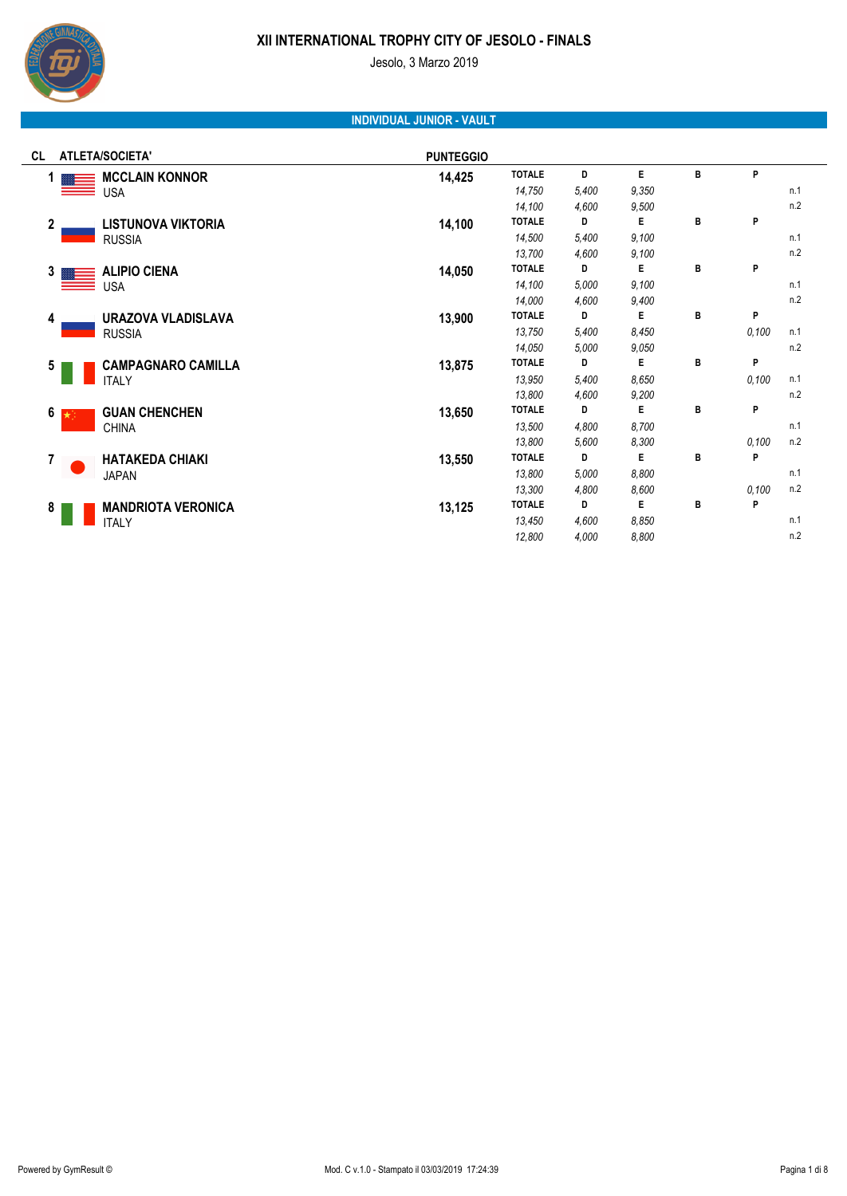

Jesolo, 3 Marzo 2019

# **INDIVIDUAL JUNIOR - VAULT**

| <b>ATLETA/SOCIETA'</b><br>CL.               | <b>PUNTEGGIO</b> |               |       |       |   |       |     |
|---------------------------------------------|------------------|---------------|-------|-------|---|-------|-----|
| <b>MCCLAIN KONNOR</b><br>1                  | 14,425           | <b>TOTALE</b> | D     | E     | B | P     |     |
| <b>USA</b><br>__                            |                  | 14,750        | 5,400 | 9.350 |   |       | n.1 |
|                                             |                  | 14,100        | 4,600 | 9,500 |   |       | n.2 |
| $\mathbf{2}$<br><b>LISTUNOVA VIKTORIA</b>   | 14,100           | <b>TOTALE</b> | D     | Е     | B | P     |     |
| <b>RUSSIA</b>                               |                  | 14,500        | 5,400 | 9,100 |   |       | n.1 |
|                                             |                  | 13,700        | 4,600 | 9,100 |   |       | n.2 |
| <b>ALIPIO CIENA</b><br>3 <sup>1</sup>       | 14,050           | <b>TOTALE</b> | D     | Е     | B | P     |     |
| <b>USA</b>                                  |                  | 14,100        | 5,000 | 9,100 |   |       | n.1 |
|                                             |                  | 14,000        | 4,600 | 9,400 |   |       | n.2 |
| URAZOVA VLADISLAVA<br>4                     | 13,900           | <b>TOTALE</b> | D     | Е     | B | P     |     |
| <b>RUSSIA</b>                               |                  | 13,750        | 5,400 | 8,450 |   | 0,100 | n.1 |
|                                             |                  | 14,050        | 5,000 | 9,050 |   |       | n.2 |
| <b>CAMPAGNARO CAMILLA</b><br>5 <sub>5</sub> | 13,875           | <b>TOTALE</b> | D     | Е     | B | P     |     |
| <b>ITALY</b>                                |                  | 13,950        | 5,400 | 8,650 |   | 0,100 | n.1 |
|                                             |                  | 13,800        | 4,600 | 9,200 |   |       | n.2 |
| <b>GUAN CHENCHEN</b><br>6<br>→ 1            | 13,650           | <b>TOTALE</b> | D     | E     | B | P     |     |
| <b>CHINA</b>                                |                  | 13,500        | 4,800 | 8,700 |   |       | n.1 |
|                                             |                  | 13,800        | 5,600 | 8,300 |   | 0,100 | n.2 |
| 7<br><b>HATAKEDA CHIAKI</b>                 | 13,550           | <b>TOTALE</b> | D     | Е     | B | P     |     |
| <b>JAPAN</b>                                |                  | 13,800        | 5,000 | 8,800 |   |       | n.1 |
|                                             |                  | 13,300        | 4,800 | 8,600 |   | 0,100 | n.2 |
| <b>MANDRIOTA VERONICA</b><br>8              | 13,125           | <b>TOTALE</b> | D     | Е     | B | P     |     |
| <b>ITALY</b>                                |                  | 13,450        | 4,600 | 8,850 |   |       | n.1 |
|                                             |                  | 12,800        | 4,000 | 8,800 |   |       | n.2 |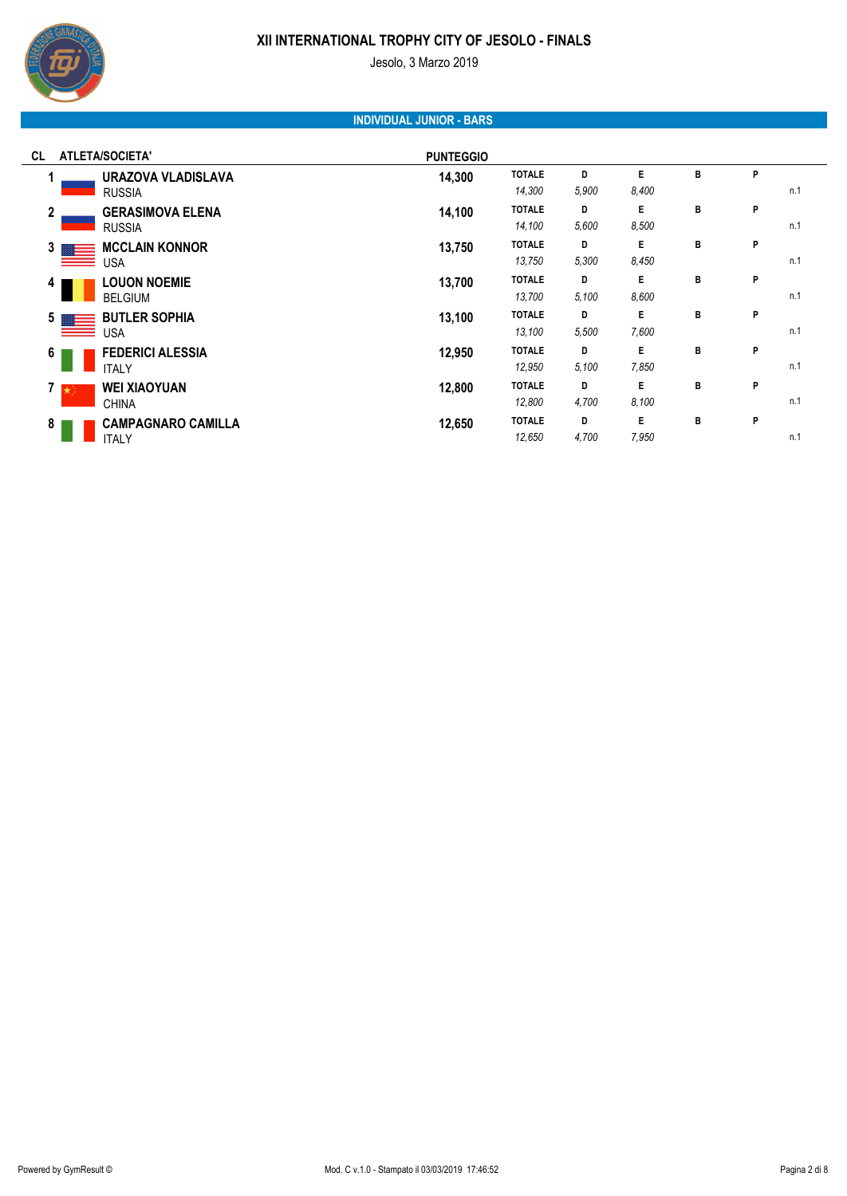

Jesolo, 3 Marzo 2019

# **INDIVIDUAL JUNIOR - BARS**

| <b>ATLETA/SOCIETA'</b><br>CL                             | <b>PUNTEGGIO</b> |                         |            |             |   |   |     |
|----------------------------------------------------------|------------------|-------------------------|------------|-------------|---|---|-----|
| URAZOVA VLADISLAVA<br><b>RUSSIA</b>                      | 14,300           | <b>TOTALE</b><br>14,300 | D<br>5,900 | E<br>8,400  | в | P | n.1 |
| $\mathbf{2}$<br><b>GERASIMOVA ELENA</b><br><b>RUSSIA</b> | 14,100           | <b>TOTALE</b><br>14,100 | D<br>5,600 | E<br>8.500  | в | P | n.1 |
| <b>MCCLAIN KONNOR</b><br>3 <sub>1</sub><br>USA           | 13,750           | <b>TOTALE</b><br>13,750 | D<br>5,300 | E<br>8,450  | в | P | n.1 |
| <b>LOUON NOEMIE</b><br>4<br><b>BELGIUM</b>               | 13,700           | <b>TOTALE</b><br>13,700 | D<br>5.100 | E.<br>8,600 | в | P | n.1 |
| <b>BUTLER SOPHIA</b><br>5<br><b>USA</b>                  | 13,100           | <b>TOTALE</b><br>13,100 | D<br>5,500 | E<br>7,600  | В | P | n.1 |
| <b>FEDERICI ALESSIA</b><br>6<br><b>ITALY</b>             | 12,950           | <b>TOTALE</b><br>12,950 | D<br>5.100 | E<br>7,850  | В | P | n.1 |
| <b>WEI XIAOYUAN</b><br>$7 \times$<br><b>CHINA</b>        | 12,800           | <b>TOTALE</b><br>12,800 | D<br>4,700 | E<br>8.100  | В | P | n.1 |
| <b>CAMPAGNARO CAMILLA</b><br>8<br><b>ITALY</b>           | 12,650           | <b>TOTALE</b><br>12,650 | D<br>4,700 | E<br>7,950  | в | P | n.1 |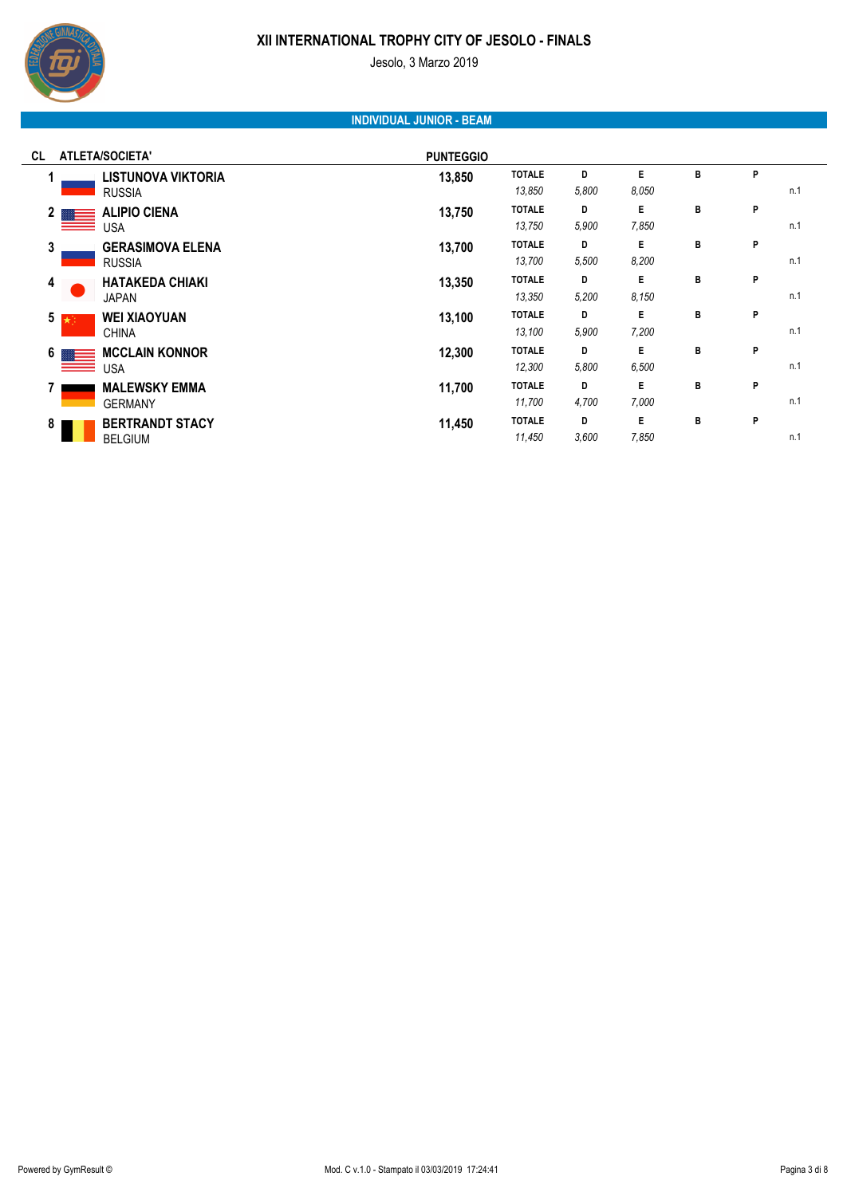

Jesolo, 3 Marzo 2019

# **INDIVIDUAL JUNIOR - BEAM**

| <b>ATLETA/SOCIETA'</b><br>CL                     | <b>PUNTEGGIO</b> |                         |            |             |   |   |     |
|--------------------------------------------------|------------------|-------------------------|------------|-------------|---|---|-----|
| <b>LISTUNOVA VIKTORIA</b><br><b>RUSSIA</b>       | 13,850           | <b>TOTALE</b><br>13,850 | D<br>5,800 | E<br>8.050  | B | P | n.1 |
| <b>ALIPIO CIENA</b><br>2 <sub>1</sub><br>USA     | 13,750           | <b>TOTALE</b><br>13,750 | D<br>5,900 | E.<br>7,850 | в | P | n.1 |
| 3<br><b>GERASIMOVA ELENA</b><br><b>RUSSIA</b>    | 13,700           | <b>TOTALE</b><br>13,700 | D<br>5,500 | E.<br>8,200 | в | P | n.1 |
| <b>HATAKEDA CHIAKI</b><br>4<br><b>JAPAN</b>      | 13,350           | <b>TOTALE</b><br>13,350 | D<br>5,200 | E.<br>8,150 | в | P | n.1 |
| $5 \star$<br><b>WEI XIAOYUAN</b><br><b>CHINA</b> | 13,100           | <b>TOTALE</b><br>13,100 | D<br>5,900 | E.<br>7,200 | в | P | n.1 |
| <b>MCCLAIN KONNOR</b><br>6<br>USA                | 12,300           | <b>TOTALE</b><br>12,300 | D<br>5,800 | Е<br>6,500  | в | P | n.1 |
| <b>MALEWSKY EMMA</b><br><b>GERMANY</b>           | 11,700           | <b>TOTALE</b><br>11,700 | D<br>4,700 | E<br>7,000  | В | P | n.1 |
| <b>BERTRANDT STACY</b><br>8<br><b>BELGIUM</b>    | 11,450           | <b>TOTALE</b><br>11,450 | D<br>3,600 | E<br>7,850  | в | P | n.1 |